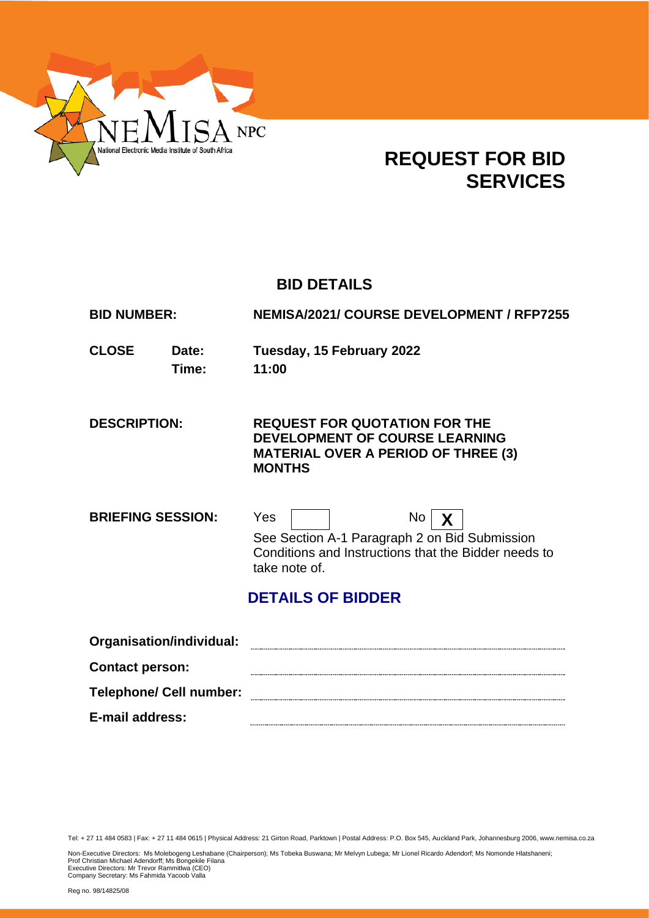

## **REQUEST FOR BID SERVICES**

## **BID DETAILS**

**BID NUMBER: NEMISA/2021/ COURSE DEVELOPMENT / RFP7255**

**CLOSE Date: Tuesday, 15 February 2022 Time: 11:00**

**DESCRIPTION: REQUEST FOR QUOTATION FOR THE DEVELOPMENT OF COURSE LEARNING MATERIAL OVER A PERIOD OF THREE (3) MONTHS**

**BRIEFING SESSION:** Yes No X See Section A-1 Paragraph 2 on Bid Submission Conditions and Instructions that the Bidder needs to take note of.

## **DETAILS OF BIDDER**

| Organisation/individual:       |  |
|--------------------------------|--|
| <b>Contact person:</b>         |  |
| <b>Telephone/ Cell number:</b> |  |
| E-mail address:                |  |

Tel: + 27 11 484 0583 | Fax: + 27 11 484 0615 | Physical Address: 21 Girton Road, Parktown | Postal Address: P.O. Box 545, Auckland Park, Johannesburg 2006, www.nemisa.co.za

Non-Executive Directors: Ms Molebogeng Leshabane (Chairperson); Ms Tobeka Buswana; Mr Melvyn Lubega; Mr Lionel Ricardo Adendorf; Ms Nomonde Hlatshaneni;<br>Prof Christian Michael Adendorff; Ms Bongekile Filana<br>Executive Dire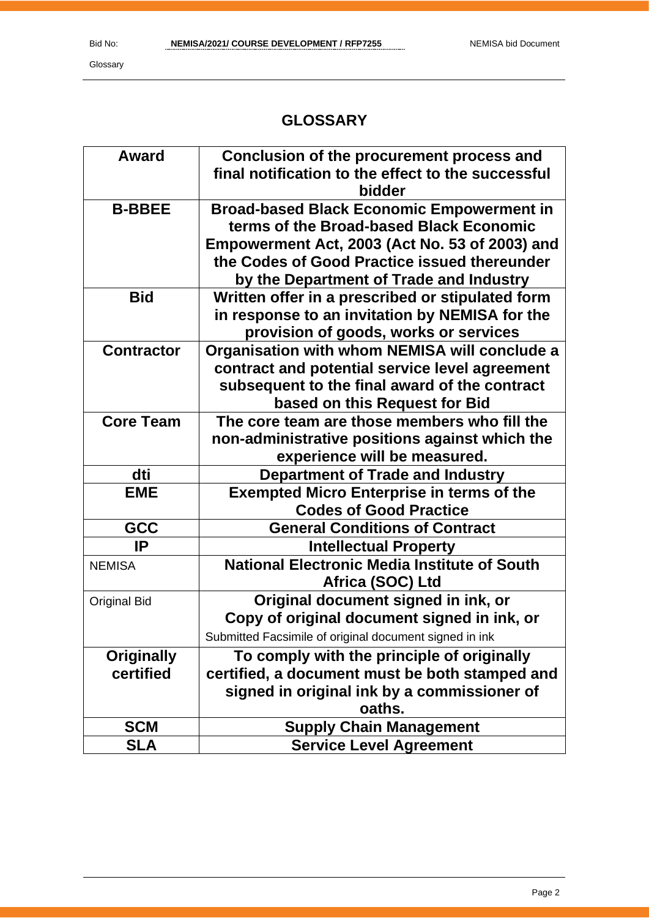Glossary

## **GLOSSARY**

| <b>Award</b>        | Conclusion of the procurement process and              |
|---------------------|--------------------------------------------------------|
|                     | final notification to the effect to the successful     |
|                     | bidder                                                 |
| <b>B-BBEE</b>       | <b>Broad-based Black Economic Empowerment in</b>       |
|                     | terms of the Broad-based Black Economic                |
|                     | Empowerment Act, 2003 (Act No. 53 of 2003) and         |
|                     | the Codes of Good Practice issued thereunder           |
|                     | by the Department of Trade and Industry                |
| <b>Bid</b>          | Written offer in a prescribed or stipulated form       |
|                     | in response to an invitation by NEMISA for the         |
|                     | provision of goods, works or services                  |
| <b>Contractor</b>   | Organisation with whom NEMISA will conclude a          |
|                     | contract and potential service level agreement         |
|                     | subsequent to the final award of the contract          |
|                     | based on this Request for Bid                          |
| <b>Core Team</b>    | The core team are those members who fill the           |
|                     | non-administrative positions against which the         |
|                     | experience will be measured.                           |
| dti                 | <b>Department of Trade and Industry</b>                |
| <b>EME</b>          | <b>Exempted Micro Enterprise in terms of the</b>       |
|                     | <b>Codes of Good Practice</b>                          |
| GCC                 | <b>General Conditions of Contract</b>                  |
| IP                  | <b>Intellectual Property</b>                           |
| <b>NEMISA</b>       | <b>National Electronic Media Institute of South</b>    |
|                     | Africa (SOC) Ltd                                       |
| <b>Original Bid</b> | Original document signed in ink, or                    |
|                     | Copy of original document signed in ink, or            |
|                     | Submitted Facsimile of original document signed in ink |
| <b>Originally</b>   | To comply with the principle of originally             |
| certified           | certified, a document must be both stamped and         |
|                     | signed in original ink by a commissioner of            |
|                     | oaths.                                                 |
| <b>SCM</b>          | <b>Supply Chain Management</b>                         |
| <b>SLA</b>          | <b>Service Level Agreement</b>                         |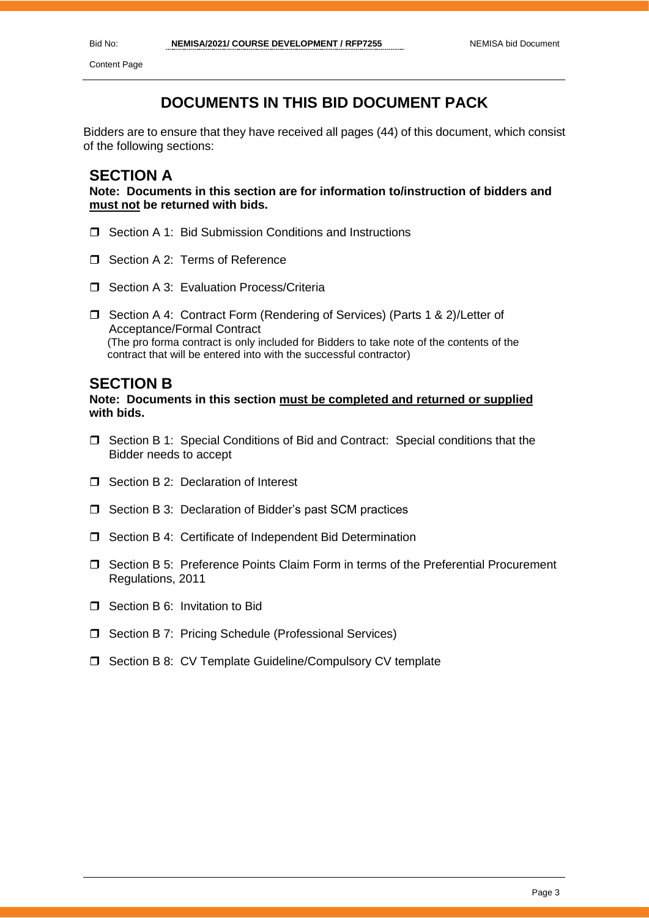Content Page

## **DOCUMENTS IN THIS BID DOCUMENT PACK**

Bidders are to ensure that they have received all pages (44) of this document, which consist of the following sections:

### **SECTION A**

**Note: Documents in this section are for information to/instruction of bidders and must not be returned with bids.**

- □ Section A 1: Bid Submission Conditions and Instructions
- Section A 2: Terms of Reference
- □ Section A 3: Evaluation Process/Criteria
- □ Section A 4: Contract Form (Rendering of Services) (Parts 1 & 2)/Letter of Acceptance/Formal Contract (The pro forma contract is only included for Bidders to take note of the contents of the contract that will be entered into with the successful contractor)

#### **SECTION B**

#### **Note: Documents in this section must be completed and returned or supplied with bids.**

- $\Box$  Section B 1: Special Conditions of Bid and Contract: Special conditions that the Bidder needs to accept
- $\Box$  Section B 2: Declaration of Interest
- □ Section B 3: Declaration of Bidder's past SCM practices
- □ Section B 4: Certificate of Independent Bid Determination
- Section B 5: Preference Points Claim Form in terms of the Preferential Procurement Regulations, 2011
- □ Section B 6: Invitation to Bid
- □ Section B 7: Pricing Schedule (Professional Services)
- □ Section B 8: CV Template Guideline/Compulsory CV template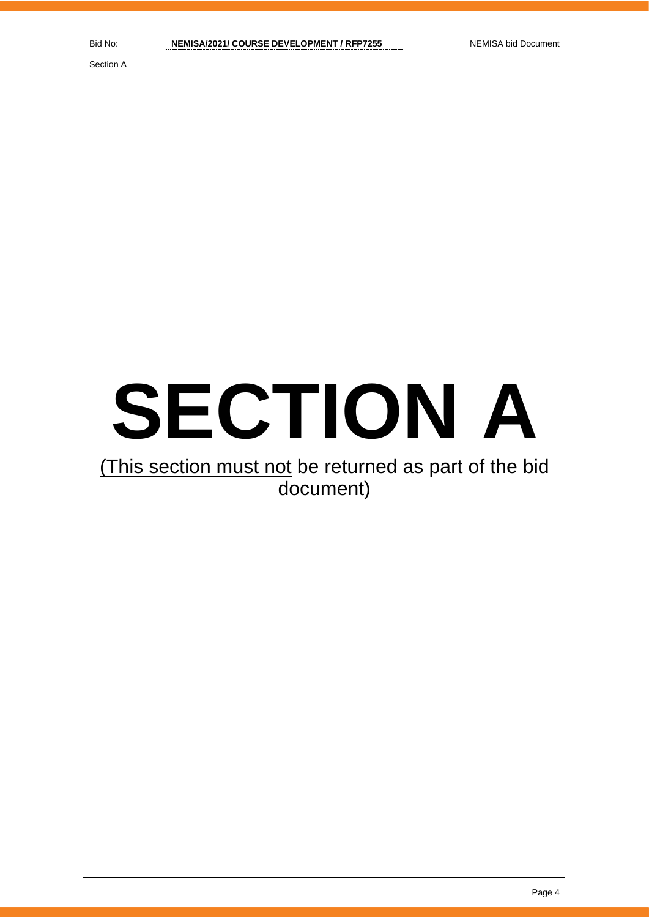Section A

# **SECTION A**

## (This section must not be returned as part of the bid document)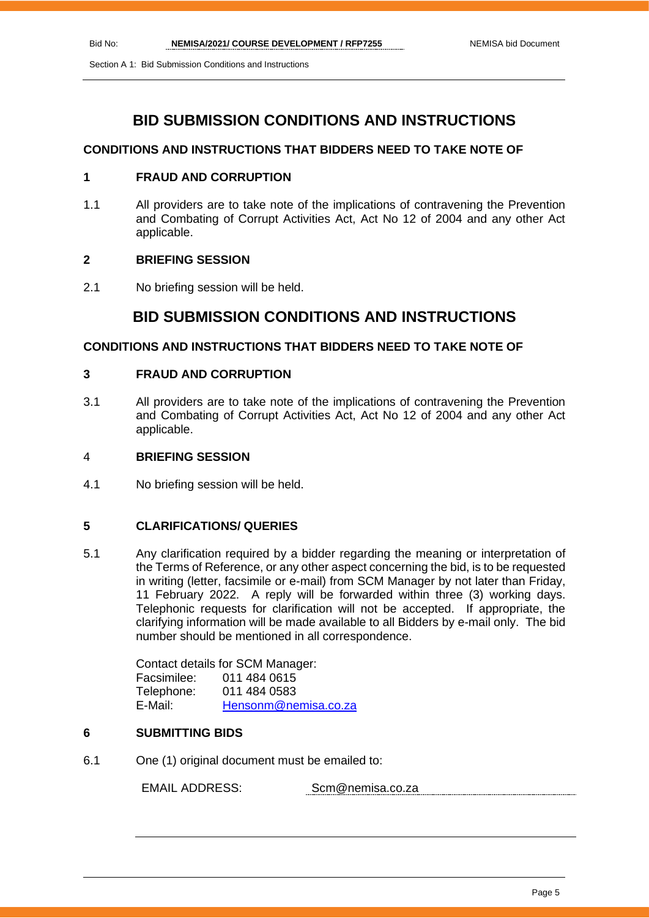Section A 1: Bid Submission Conditions and Instructions

## **BID SUBMISSION CONDITIONS AND INSTRUCTIONS**

#### **CONDITIONS AND INSTRUCTIONS THAT BIDDERS NEED TO TAKE NOTE OF**

#### **1 FRAUD AND CORRUPTION**

1.1 All providers are to take note of the implications of contravening the Prevention and Combating of Corrupt Activities Act, Act No 12 of 2004 and any other Act applicable.

#### **2 BRIEFING SESSION**

2.1 No briefing session will be held.

#### **BID SUBMISSION CONDITIONS AND INSTRUCTIONS**

#### **CONDITIONS AND INSTRUCTIONS THAT BIDDERS NEED TO TAKE NOTE OF**

#### **3 FRAUD AND CORRUPTION**

3.1 All providers are to take note of the implications of contravening the Prevention and Combating of Corrupt Activities Act, Act No 12 of 2004 and any other Act applicable.

#### 4 **BRIEFING SESSION**

4.1 No briefing session will be held.

#### **5 CLARIFICATIONS/ QUERIES**

5.1 Any clarification required by a bidder regarding the meaning or interpretation of the Terms of Reference, or any other aspect concerning the bid, is to be requested in writing (letter, facsimile or e-mail) from SCM Manager by not later than Friday, 11 February 2022. A reply will be forwarded within three (3) working days. Telephonic requests for clarification will not be accepted. If appropriate, the clarifying information will be made available to all Bidders by e-mail only. The bid number should be mentioned in all correspondence.

> Contact details for SCM Manager: Facsimilee: 011 484 0615 Telephone: 011 484 0583 E-Mail: [Hensonm@nemisa.co.za](mailto:Hensonm@nemisa.co.za)

#### **6 SUBMITTING BIDS**

6.1 One (1) original document must be emailed to:

EMAIL ADDRESS: Scm@nemisa.co.za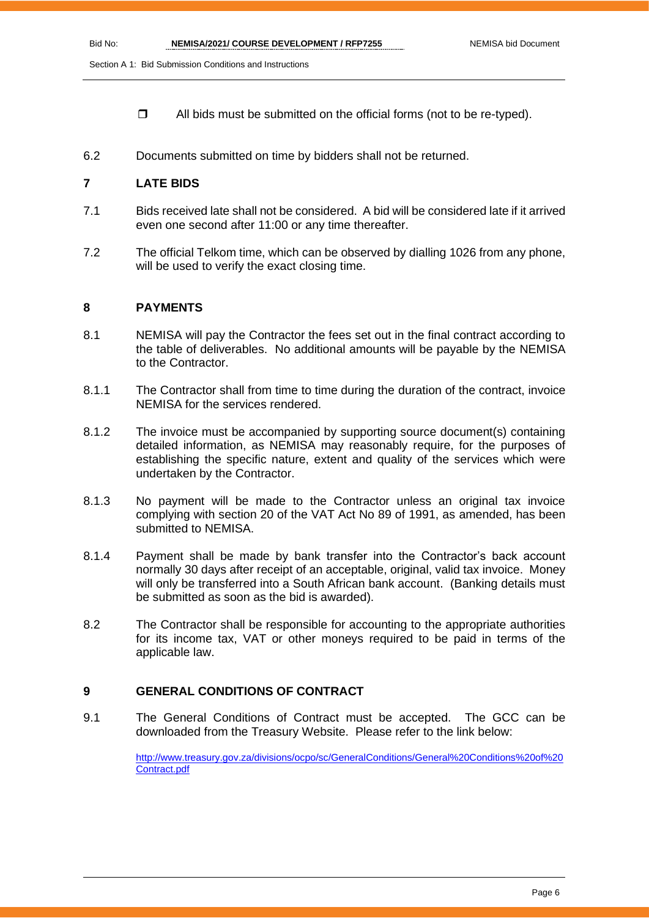Section A 1: Bid Submission Conditions and Instructions

- $\Box$  All bids must be submitted on the official forms (not to be re-typed).
- 6.2 Documents submitted on time by bidders shall not be returned.

#### **7 LATE BIDS**

- 7.1 Bids received late shall not be considered. A bid will be considered late if it arrived even one second after 11:00 or any time thereafter.
- 7.2 The official Telkom time, which can be observed by dialling 1026 from any phone, will be used to verify the exact closing time.

#### **8 PAYMENTS**

- 8.1 NEMISA will pay the Contractor the fees set out in the final contract according to the table of deliverables. No additional amounts will be payable by the NEMISA to the Contractor.
- 8.1.1 The Contractor shall from time to time during the duration of the contract, invoice NEMISA for the services rendered.
- 8.1.2 The invoice must be accompanied by supporting source document(s) containing detailed information, as NEMISA may reasonably require, for the purposes of establishing the specific nature, extent and quality of the services which were undertaken by the Contractor.
- 8.1.3 No payment will be made to the Contractor unless an original tax invoice complying with section 20 of the VAT Act No 89 of 1991, as amended, has been submitted to NEMISA.
- 8.1.4 Payment shall be made by bank transfer into the Contractor's back account normally 30 days after receipt of an acceptable, original, valid tax invoice. Money will only be transferred into a South African bank account. (Banking details must be submitted as soon as the bid is awarded).
- 8.2 The Contractor shall be responsible for accounting to the appropriate authorities for its income tax, VAT or other moneys required to be paid in terms of the applicable law.

#### **9 GENERAL CONDITIONS OF CONTRACT**

9.1 The General Conditions of Contract must be accepted. The GCC can be downloaded from the Treasury Website. Please refer to the link below:

> [http://www.treasury.gov.za/divisions/ocpo/sc/GeneralConditions/General%20Conditions%20of%20](http://www.treasury.gov.za/divisions/ocpo/sc/GeneralConditions/General%20Conditions%20of%20Contract.pdf) [Contract.pdf](http://www.treasury.gov.za/divisions/ocpo/sc/GeneralConditions/General%20Conditions%20of%20Contract.pdf)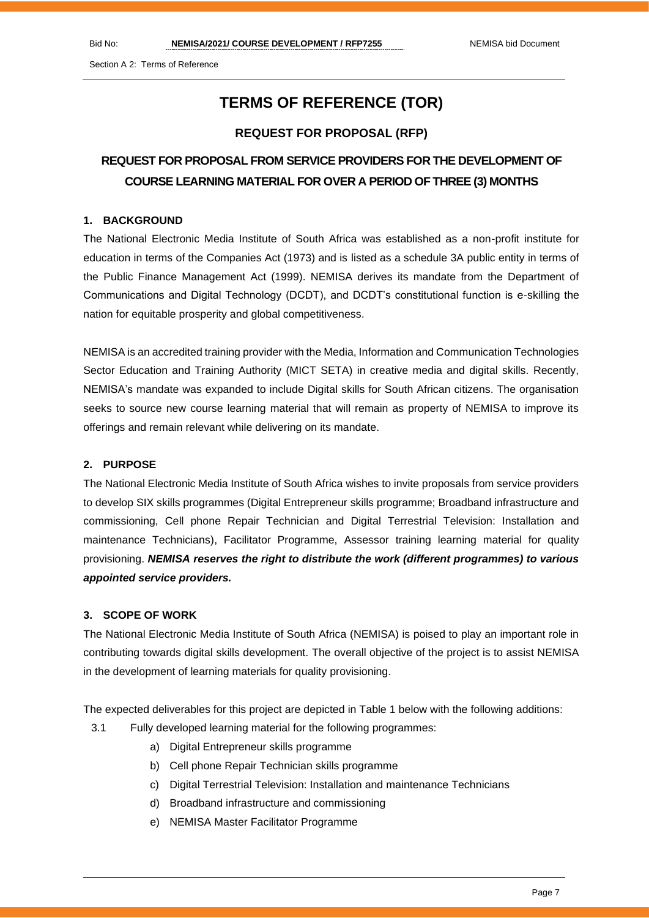## **TERMS OF REFERENCE (TOR)**

#### **REQUEST FOR PROPOSAL (RFP)**

## **REQUEST FOR PROPOSAL FROM SERVICE PROVIDERS FOR THE DEVELOPMENT OF COURSE LEARNING MATERIAL FOR OVER A PERIOD OF THREE (3) MONTHS**

#### **1. BACKGROUND**

The National Electronic Media Institute of South Africa was established as a non-profit institute for education in terms of the Companies Act (1973) and is listed as a schedule 3A public entity in terms of the Public Finance Management Act (1999). NEMISA derives its mandate from the Department of Communications and Digital Technology (DCDT), and DCDT's constitutional function is e-skilling the nation for equitable prosperity and global competitiveness.

NEMISA is an accredited training provider with the Media, Information and Communication Technologies Sector Education and Training Authority (MICT SETA) in creative media and digital skills. Recently, NEMISA's mandate was expanded to include Digital skills for South African citizens. The organisation seeks to source new course learning material that will remain as property of NEMISA to improve its offerings and remain relevant while delivering on its mandate.

#### **2. PURPOSE**

The National Electronic Media Institute of South Africa wishes to invite proposals from service providers to develop SIX skills programmes (Digital Entrepreneur skills programme; Broadband infrastructure and commissioning, Cell phone Repair Technician and Digital Terrestrial Television: Installation and maintenance Technicians), Facilitator Programme, Assessor training learning material for quality provisioning. *NEMISA reserves the right to distribute the work (different programmes) to various appointed service providers.* 

#### **3. SCOPE OF WORK**

The National Electronic Media Institute of South Africa (NEMISA) is poised to play an important role in contributing towards digital skills development. The overall objective of the project is to assist NEMISA in the development of learning materials for quality provisioning.

The expected deliverables for this project are depicted in Table 1 below with the following additions:

- 3.1 Fully developed learning material for the following programmes:
	- a) Digital Entrepreneur skills programme
	- b) Cell phone Repair Technician skills programme
	- c) Digital Terrestrial Television: Installation and maintenance Technicians
	- d) Broadband infrastructure and commissioning
	- e) NEMISA Master Facilitator Programme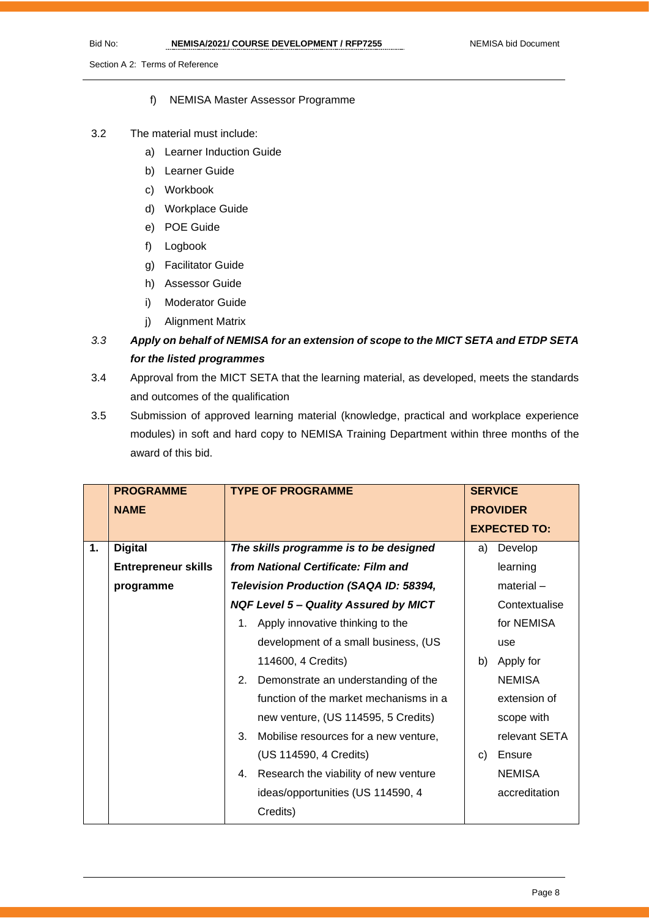#### f) NEMISA Master Assessor Programme

#### 3.2 The material must include:

- a) Learner Induction Guide
- b) Learner Guide
- c) Workbook
- d) Workplace Guide
- e) POE Guide
- f) Logbook
- g) Facilitator Guide
- h) Assessor Guide
- i) Moderator Guide
- j) Alignment Matrix
- *3.3 Apply on behalf of NEMISA for an extension of scope to the MICT SETA and ETDP SETA for the listed programmes*
- 3.4 Approval from the MICT SETA that the learning material, as developed, meets the standards and outcomes of the qualification
- 3.5 Submission of approved learning material (knowledge, practical and workplace experience modules) in soft and hard copy to NEMISA Training Department within three months of the award of this bid.

|    | <b>PROGRAMME</b>           |    | <b>TYPE OF PROGRAMME</b>                     |    | <b>SERVICE</b>      |  |
|----|----------------------------|----|----------------------------------------------|----|---------------------|--|
|    | <b>NAME</b>                |    |                                              |    | <b>PROVIDER</b>     |  |
|    |                            |    |                                              |    | <b>EXPECTED TO:</b> |  |
| 1. | <b>Digital</b>             |    | The skills programme is to be designed       | a) | Develop             |  |
|    | <b>Entrepreneur skills</b> |    | from National Certificate: Film and          |    | learning            |  |
|    | programme                  |    | Television Production (SAQA ID: 58394,       |    | $material -$        |  |
|    |                            |    | <b>NQF Level 5 - Quality Assured by MICT</b> |    | Contextualise       |  |
|    |                            | 1. | Apply innovative thinking to the             |    | for NEMISA          |  |
|    |                            |    | development of a small business, (US         |    | use                 |  |
|    |                            |    | 114600, 4 Credits)                           | b) | Apply for           |  |
|    |                            | 2. | Demonstrate an understanding of the          |    | <b>NEMISA</b>       |  |
|    |                            |    | function of the market mechanisms in a       |    | extension of        |  |
|    |                            |    | new venture, (US 114595, 5 Credits)          |    | scope with          |  |
|    |                            | 3. | Mobilise resources for a new venture,        |    | relevant SETA       |  |
|    |                            |    | (US 114590, 4 Credits)                       | C) | Ensure              |  |
|    |                            | 4. | Research the viability of new venture        |    | <b>NEMISA</b>       |  |
|    |                            |    | ideas/opportunities (US 114590, 4            |    | accreditation       |  |
|    |                            |    | Credits)                                     |    |                     |  |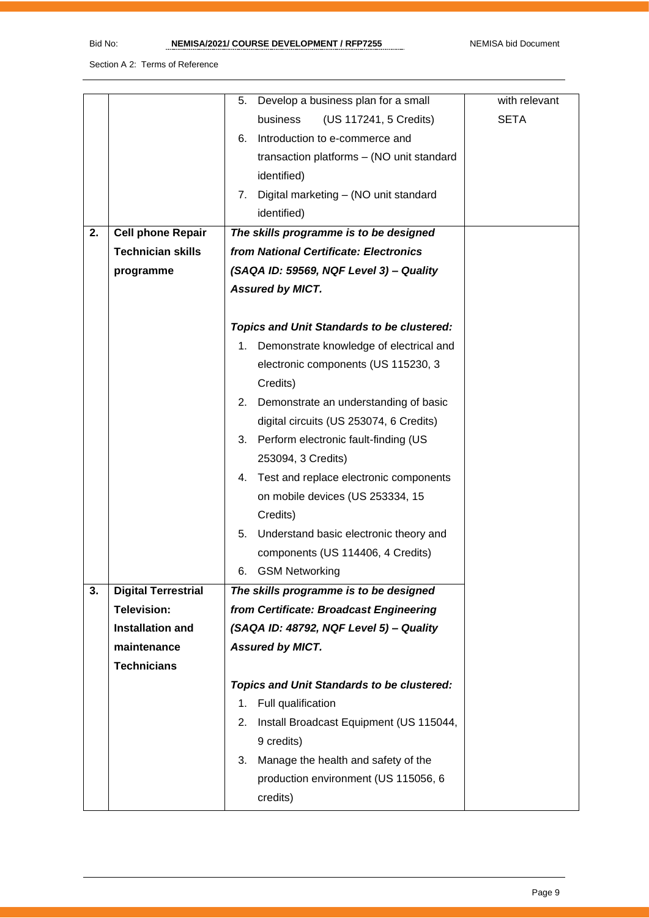|    |                            | Develop a business plan for a small<br>5.         | with relevant |
|----|----------------------------|---------------------------------------------------|---------------|
|    |                            | business<br>(US 117241, 5 Credits)                | <b>SETA</b>   |
|    |                            | Introduction to e-commerce and<br>6.              |               |
|    |                            | transaction platforms - (NO unit standard         |               |
|    |                            | identified)                                       |               |
|    |                            | Digital marketing - (NO unit standard<br>7.       |               |
|    |                            | identified)                                       |               |
| 2. | <b>Cell phone Repair</b>   | The skills programme is to be designed            |               |
|    | <b>Technician skills</b>   | from National Certificate: Electronics            |               |
|    | programme                  | (SAQA ID: 59569, NQF Level 3) - Quality           |               |
|    |                            | <b>Assured by MICT.</b>                           |               |
|    |                            |                                                   |               |
|    |                            | <b>Topics and Unit Standards to be clustered:</b> |               |
|    |                            | Demonstrate knowledge of electrical and           |               |
|    |                            | electronic components (US 115230, 3               |               |
|    |                            | Credits)                                          |               |
|    |                            | Demonstrate an understanding of basic<br>2.       |               |
|    |                            | digital circuits (US 253074, 6 Credits)           |               |
|    |                            | 3. Perform electronic fault-finding (US           |               |
|    |                            | 253094, 3 Credits)                                |               |
|    |                            | Test and replace electronic components<br>4.      |               |
|    |                            | on mobile devices (US 253334, 15                  |               |
|    |                            | Credits)                                          |               |
|    |                            | Understand basic electronic theory and<br>5.      |               |
|    |                            | components (US 114406, 4 Credits)                 |               |
|    |                            | <b>GSM Networking</b><br>6.                       |               |
| 3. | <b>Digital Terrestrial</b> | The skills programme is to be designed            |               |
|    | <b>Television:</b>         | from Certificate: Broadcast Engineering           |               |
|    | <b>Installation and</b>    | (SAQA ID: 48792, NQF Level 5) - Quality           |               |
|    | maintenance                | <b>Assured by MICT.</b>                           |               |
|    | <b>Technicians</b>         |                                                   |               |
|    |                            | <b>Topics and Unit Standards to be clustered:</b> |               |
|    |                            | Full qualification<br>1.                          |               |
|    |                            | Install Broadcast Equipment (US 115044,<br>2.     |               |
|    |                            | 9 credits)                                        |               |
|    |                            | Manage the health and safety of the<br>3.         |               |
|    |                            | production environment (US 115056, 6              |               |
|    |                            | credits)                                          |               |
|    |                            |                                                   |               |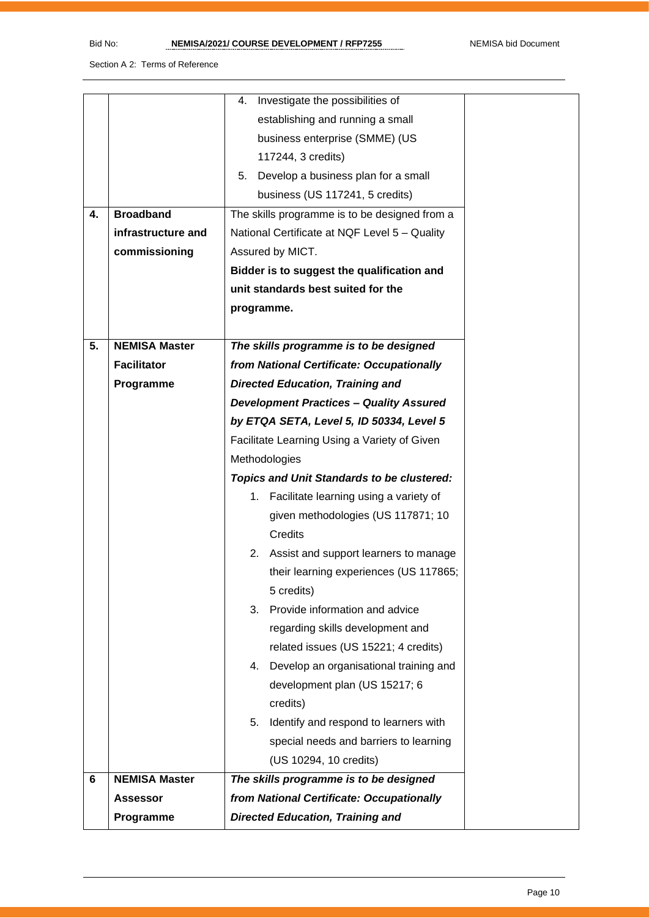|    |                      | Investigate the possibilities of<br>4.            |  |  |
|----|----------------------|---------------------------------------------------|--|--|
|    |                      | establishing and running a small                  |  |  |
|    |                      | business enterprise (SMME) (US                    |  |  |
|    |                      | 117244, 3 credits)                                |  |  |
|    |                      | Develop a business plan for a small<br>5.         |  |  |
|    |                      | business (US 117241, 5 credits)                   |  |  |
| 4. | <b>Broadband</b>     | The skills programme is to be designed from a     |  |  |
|    | infrastructure and   | National Certificate at NQF Level 5 - Quality     |  |  |
|    | commissioning        | Assured by MICT.                                  |  |  |
|    |                      | Bidder is to suggest the qualification and        |  |  |
|    |                      | unit standards best suited for the                |  |  |
|    |                      | programme.                                        |  |  |
|    |                      |                                                   |  |  |
| 5. | <b>NEMISA Master</b> | The skills programme is to be designed            |  |  |
|    | <b>Facilitator</b>   | from National Certificate: Occupationally         |  |  |
|    | Programme            | <b>Directed Education, Training and</b>           |  |  |
|    |                      | <b>Development Practices - Quality Assured</b>    |  |  |
|    |                      | by ETQA SETA, Level 5, ID 50334, Level 5          |  |  |
|    |                      | Facilitate Learning Using a Variety of Given      |  |  |
|    |                      | Methodologies                                     |  |  |
|    |                      | <b>Topics and Unit Standards to be clustered:</b> |  |  |
|    |                      | 1. Facilitate learning using a variety of         |  |  |
|    |                      | given methodologies (US 117871; 10                |  |  |
|    |                      | Credits                                           |  |  |
|    |                      | 2.<br>Assist and support learners to manage       |  |  |
|    |                      | their learning experiences (US 117865;            |  |  |
|    |                      | 5 credits)                                        |  |  |
|    |                      | Provide information and advice<br>3.              |  |  |
|    |                      | regarding skills development and                  |  |  |
|    |                      | related issues (US 15221; 4 credits)              |  |  |
|    |                      | Develop an organisational training and<br>4.      |  |  |
|    |                      | development plan (US 15217; 6                     |  |  |
|    |                      | credits)                                          |  |  |
|    |                      | Identify and respond to learners with<br>5.       |  |  |
|    |                      | special needs and barriers to learning            |  |  |
|    |                      | (US 10294, 10 credits)                            |  |  |
| 6  | <b>NEMISA Master</b> | The skills programme is to be designed            |  |  |
|    | <b>Assessor</b>      | from National Certificate: Occupationally         |  |  |
|    | Programme            | <b>Directed Education, Training and</b>           |  |  |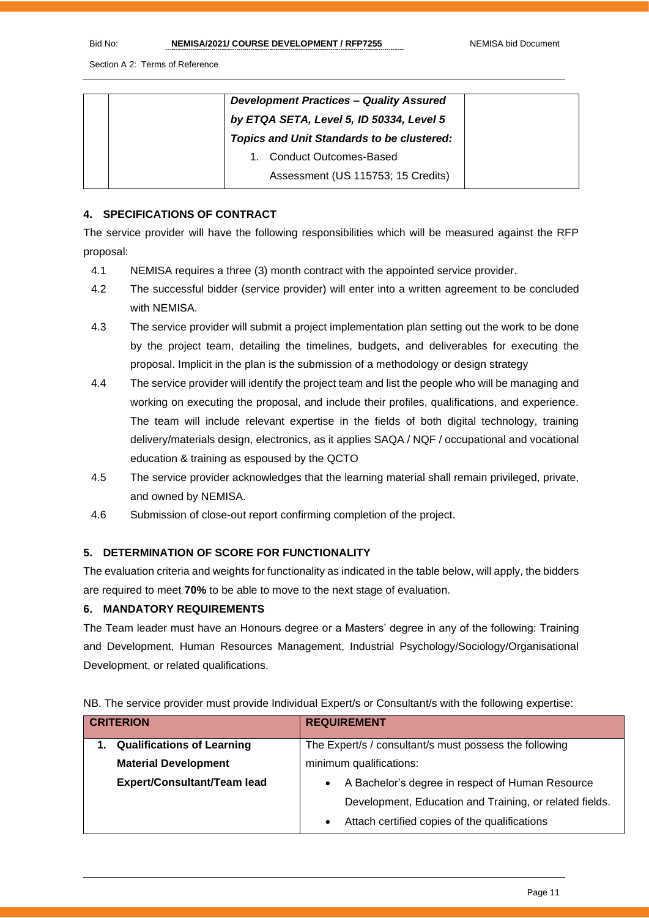| <b>Development Practices - Quality Assured</b><br>by ETQA SETA, Level 5, ID 50334, Level 5 |
|--------------------------------------------------------------------------------------------|
| <b>Topics and Unit Standards to be clustered:</b>                                          |
| <b>Conduct Outcomes-Based</b>                                                              |
| Assessment (US 115753; 15 Credits)                                                         |

#### **4. SPECIFICATIONS OF CONTRACT**

The service provider will have the following responsibilities which will be measured against the RFP proposal:

- 4.1 NEMISA requires a three (3) month contract with the appointed service provider.
- 4.2 The successful bidder (service provider) will enter into a written agreement to be concluded with NEMISA.
- 4.3 The service provider will submit a project implementation plan setting out the work to be done by the project team, detailing the timelines, budgets, and deliverables for executing the proposal. Implicit in the plan is the submission of a methodology or design strategy
- 4.4 The service provider will identify the project team and list the people who will be managing and working on executing the proposal, and include their profiles, qualifications, and experience. The team will include relevant expertise in the fields of both digital technology, training delivery/materials design, electronics, as it applies SAQA / NQF / occupational and vocational education & training as espoused by the QCTO
- 4.5 The service provider acknowledges that the learning material shall remain privileged, private, and owned by NEMISA.
- 4.6 Submission of close-out report confirming completion of the project.

#### **5. DETERMINATION OF SCORE FOR FUNCTIONALITY**

The evaluation criteria and weights for functionality as indicated in the table below, will apply, the bidders are required to meet **70%** to be able to move to the next stage of evaluation.

#### **6. MANDATORY REQUIREMENTS**

The Team leader must have an Honours degree or a Masters' degree in any of the following: Training and Development, Human Resources Management, Industrial Psychology/Sociology/Organisational Development, or related qualifications.

|  |  |  |  | NB. The service provider must provide Individual Expert/s or Consultant/s with the following expertise: |  |
|--|--|--|--|---------------------------------------------------------------------------------------------------------|--|
|--|--|--|--|---------------------------------------------------------------------------------------------------------|--|

| <b>CRITERION</b> |                                    |                                                               | <b>REQUIREMENT</b>                                     |
|------------------|------------------------------------|---------------------------------------------------------------|--------------------------------------------------------|
|                  | <b>Qualifications of Learning</b>  |                                                               | The Expert/s / consultant/s must possess the following |
|                  | <b>Material Development</b>        | minimum qualifications:                                       |                                                        |
|                  | <b>Expert/Consultant/Team lead</b> | A Bachelor's degree in respect of Human Resource<br>$\bullet$ |                                                        |
|                  |                                    | Development, Education and Training, or related fields.       |                                                        |
|                  |                                    | $\bullet$                                                     | Attach certified copies of the qualifications          |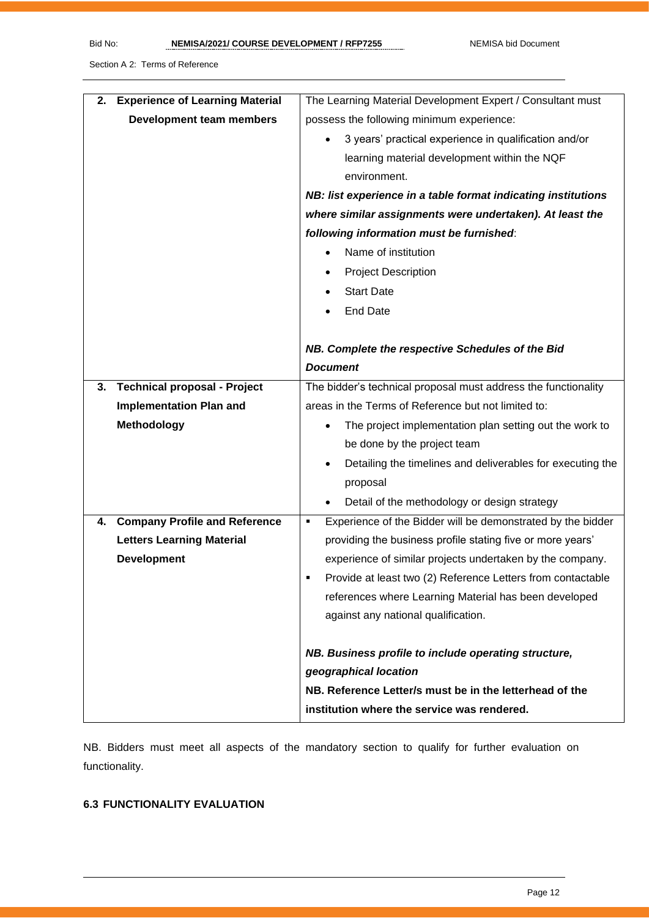| <b>Experience of Learning Material</b><br>2. | The Learning Material Development Expert / Consultant must       |  |  |
|----------------------------------------------|------------------------------------------------------------------|--|--|
| Development team members                     | possess the following minimum experience:                        |  |  |
|                                              | 3 years' practical experience in qualification and/or            |  |  |
|                                              | learning material development within the NQF                     |  |  |
|                                              | environment.                                                     |  |  |
|                                              | NB: list experience in a table format indicating institutions    |  |  |
|                                              | where similar assignments were undertaken). At least the         |  |  |
|                                              | following information must be furnished:                         |  |  |
|                                              | Name of institution                                              |  |  |
|                                              | <b>Project Description</b><br>٠                                  |  |  |
|                                              | <b>Start Date</b>                                                |  |  |
|                                              | <b>End Date</b>                                                  |  |  |
|                                              |                                                                  |  |  |
|                                              | NB. Complete the respective Schedules of the Bid                 |  |  |
|                                              | <b>Document</b>                                                  |  |  |
| <b>Technical proposal - Project</b><br>3.    | The bidder's technical proposal must address the functionality   |  |  |
| <b>Implementation Plan and</b>               | areas in the Terms of Reference but not limited to:              |  |  |
| <b>Methodology</b>                           | The project implementation plan setting out the work to          |  |  |
|                                              | be done by the project team                                      |  |  |
|                                              | Detailing the timelines and deliverables for executing the       |  |  |
|                                              | proposal                                                         |  |  |
|                                              | Detail of the methodology or design strategy                     |  |  |
| <b>Company Profile and Reference</b><br>4.   | Experience of the Bidder will be demonstrated by the bidder<br>٠ |  |  |
| <b>Letters Learning Material</b>             | providing the business profile stating five or more years'       |  |  |
| <b>Development</b>                           | experience of similar projects undertaken by the company.        |  |  |
|                                              | Provide at least two (2) Reference Letters from contactable      |  |  |
|                                              | references where Learning Material has been developed            |  |  |
|                                              | against any national qualification.                              |  |  |
|                                              |                                                                  |  |  |
|                                              | NB. Business profile to include operating structure,             |  |  |
|                                              | geographical location                                            |  |  |
|                                              | NB. Reference Letter/s must be in the letterhead of the          |  |  |
|                                              | institution where the service was rendered.                      |  |  |

NB. Bidders must meet all aspects of the mandatory section to qualify for further evaluation on functionality.

#### **6.3 FUNCTIONALITY EVALUATION**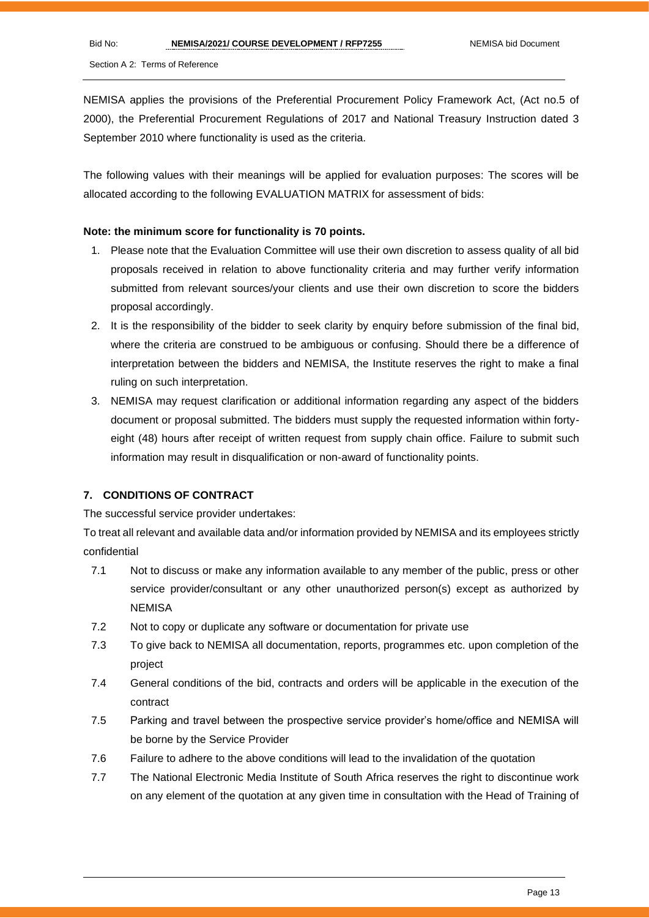NEMISA applies the provisions of the Preferential Procurement Policy Framework Act, (Act no.5 of 2000), the Preferential Procurement Regulations of 2017 and National Treasury Instruction dated 3 September 2010 where functionality is used as the criteria.

The following values with their meanings will be applied for evaluation purposes: The scores will be allocated according to the following EVALUATION MATRIX for assessment of bids:

#### **Note: the minimum score for functionality is 70 points.**

- 1. Please note that the Evaluation Committee will use their own discretion to assess quality of all bid proposals received in relation to above functionality criteria and may further verify information submitted from relevant sources/your clients and use their own discretion to score the bidders proposal accordingly.
- 2. It is the responsibility of the bidder to seek clarity by enquiry before submission of the final bid, where the criteria are construed to be ambiguous or confusing. Should there be a difference of interpretation between the bidders and NEMISA, the Institute reserves the right to make a final ruling on such interpretation.
- 3. NEMISA may request clarification or additional information regarding any aspect of the bidders document or proposal submitted. The bidders must supply the requested information within fortyeight (48) hours after receipt of written request from supply chain office. Failure to submit such information may result in disqualification or non-award of functionality points.

#### **7. CONDITIONS OF CONTRACT**

The successful service provider undertakes:

To treat all relevant and available data and/or information provided by NEMISA and its employees strictly confidential

- 7.1 Not to discuss or make any information available to any member of the public, press or other service provider/consultant or any other unauthorized person(s) except as authorized by **NEMISA**
- 7.2 Not to copy or duplicate any software or documentation for private use
- 7.3 To give back to NEMISA all documentation, reports, programmes etc. upon completion of the project
- 7.4 General conditions of the bid, contracts and orders will be applicable in the execution of the contract
- 7.5 Parking and travel between the prospective service provider's home/office and NEMISA will be borne by the Service Provider
- 7.6 Failure to adhere to the above conditions will lead to the invalidation of the quotation
- 7.7 The National Electronic Media Institute of South Africa reserves the right to discontinue work on any element of the quotation at any given time in consultation with the Head of Training of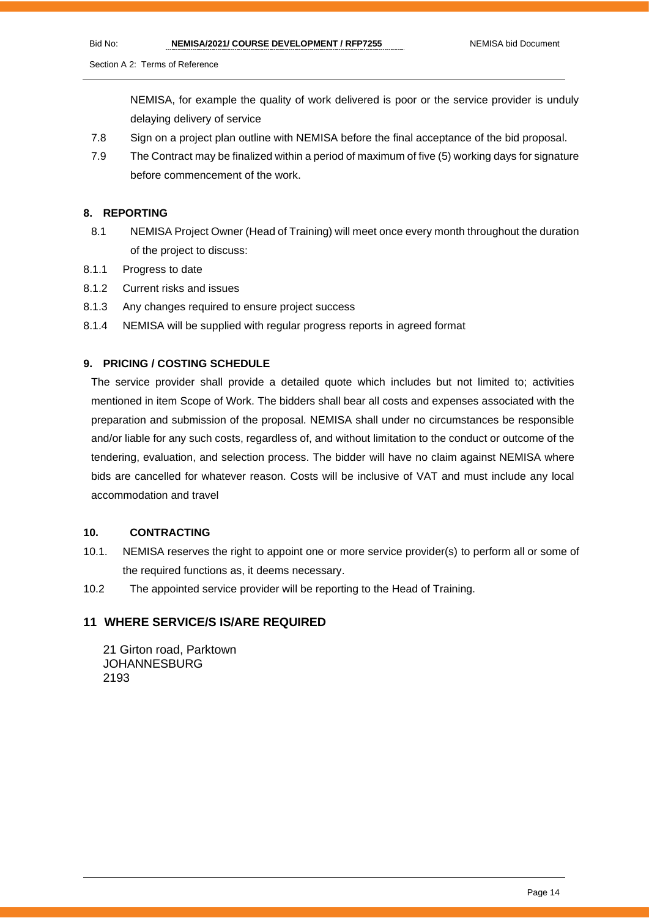NEMISA, for example the quality of work delivered is poor or the service provider is unduly delaying delivery of service

- 7.8 Sign on a project plan outline with NEMISA before the final acceptance of the bid proposal.
- 7.9 The Contract may be finalized within a period of maximum of five (5) working days for signature before commencement of the work.

#### **8. REPORTING**

- 8.1 NEMISA Project Owner (Head of Training) will meet once every month throughout the duration of the project to discuss:
- 8.1.1 Progress to date
- 8.1.2 Current risks and issues
- 8.1.3 Any changes required to ensure project success
- 8.1.4 NEMISA will be supplied with regular progress reports in agreed format

#### **9. PRICING / COSTING SCHEDULE**

The service provider shall provide a detailed quote which includes but not limited to; activities mentioned in item Scope of Work. The bidders shall bear all costs and expenses associated with the preparation and submission of the proposal. NEMISA shall under no circumstances be responsible and/or liable for any such costs, regardless of, and without limitation to the conduct or outcome of the tendering, evaluation, and selection process. The bidder will have no claim against NEMISA where bids are cancelled for whatever reason. Costs will be inclusive of VAT and must include any local accommodation and travel

#### **10. CONTRACTING**

- 10.1. NEMISA reserves the right to appoint one or more service provider(s) to perform all or some of the required functions as, it deems necessary.
- 10.2 The appointed service provider will be reporting to the Head of Training.

#### **11 WHERE SERVICE/S IS/ARE REQUIRED**

21 Girton road, Parktown JOHANNESBURG 2193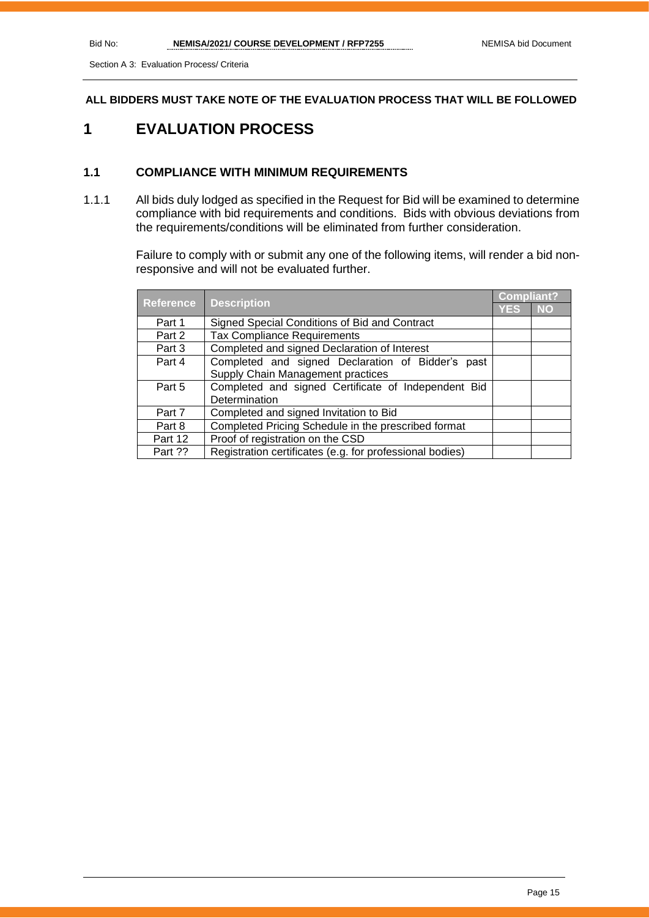**ALL BIDDERS MUST TAKE NOTE OF THE EVALUATION PROCESS THAT WILL BE FOLLOWED**

## **1 EVALUATION PROCESS**

#### **1.1 COMPLIANCE WITH MINIMUM REQUIREMENTS**

1.1.1 All bids duly lodged as specified in the Request for Bid will be examined to determine compliance with bid requirements and conditions. Bids with obvious deviations from the requirements/conditions will be eliminated from further consideration.

> Failure to comply with or submit any one of the following items, will render a bid nonresponsive and will not be evaluated further.

|                  | <b>Description</b><br>YES                                |  | Compliant? |  |
|------------------|----------------------------------------------------------|--|------------|--|
| <b>Reference</b> |                                                          |  | <b>NO</b>  |  |
| Part 1           | Signed Special Conditions of Bid and Contract            |  |            |  |
| Part 2           | <b>Tax Compliance Requirements</b>                       |  |            |  |
| Part 3           | Completed and signed Declaration of Interest             |  |            |  |
| Part 4           | Completed and signed Declaration of Bidder's past        |  |            |  |
|                  | Supply Chain Management practices                        |  |            |  |
| Part 5           | Completed and signed Certificate of Independent Bid      |  |            |  |
|                  | Determination                                            |  |            |  |
| Part 7           | Completed and signed Invitation to Bid                   |  |            |  |
| Part 8           | Completed Pricing Schedule in the prescribed format      |  |            |  |
| Part 12          | Proof of registration on the CSD                         |  |            |  |
| Part ??          | Registration certificates (e.g. for professional bodies) |  |            |  |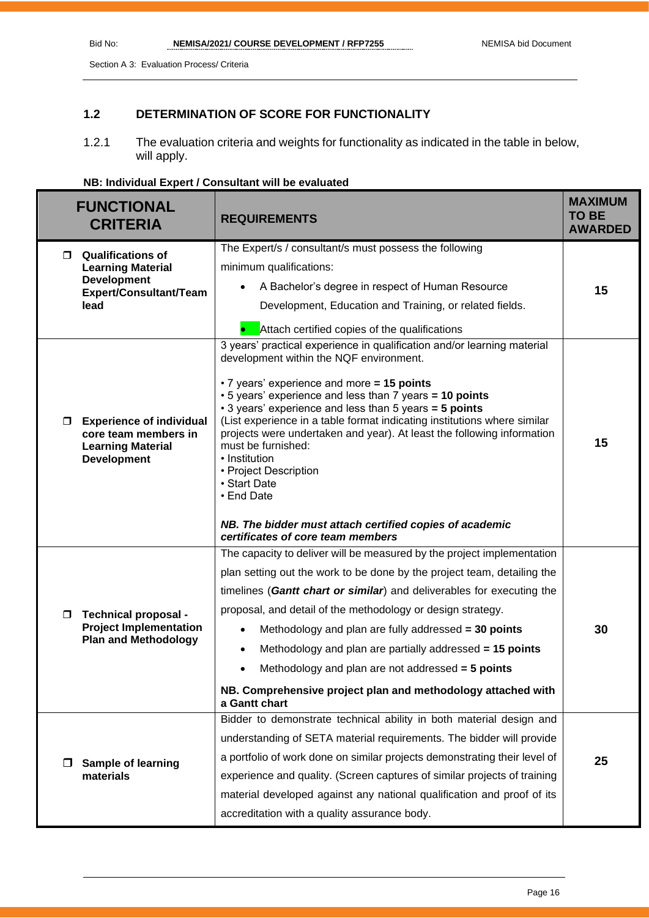## **1.2 DETERMINATION OF SCORE FOR FUNCTIONALITY**

1.2.1 The evaluation criteria and weights for functionality as indicated in the table in below, will apply.

| NB: Individual Expert / Consultant will be evaluated |  |
|------------------------------------------------------|--|
|------------------------------------------------------|--|

| <b>FUNCTIONAL</b><br><b>CRITERIA</b>                                                                            | <b>REQUIREMENTS</b>                                                                                                                                                                                                                                                                                                                                                                                                                                                                                                         | <b>MAXIMUM</b><br><b>TO BE</b><br><b>AWARDED</b> |
|-----------------------------------------------------------------------------------------------------------------|-----------------------------------------------------------------------------------------------------------------------------------------------------------------------------------------------------------------------------------------------------------------------------------------------------------------------------------------------------------------------------------------------------------------------------------------------------------------------------------------------------------------------------|--------------------------------------------------|
| <b>Qualifications of</b><br>П.                                                                                  | The Expert/s / consultant/s must possess the following                                                                                                                                                                                                                                                                                                                                                                                                                                                                      |                                                  |
| <b>Learning Material</b><br><b>Development</b>                                                                  | minimum qualifications:                                                                                                                                                                                                                                                                                                                                                                                                                                                                                                     |                                                  |
| Expert/Consultant/Team                                                                                          | A Bachelor's degree in respect of Human Resource<br>$\bullet$                                                                                                                                                                                                                                                                                                                                                                                                                                                               | 15                                               |
| lead                                                                                                            | Development, Education and Training, or related fields.                                                                                                                                                                                                                                                                                                                                                                                                                                                                     |                                                  |
|                                                                                                                 | Attach certified copies of the qualifications                                                                                                                                                                                                                                                                                                                                                                                                                                                                               |                                                  |
| <b>Experience of individual</b><br>σ.<br>core team members in<br><b>Learning Material</b><br><b>Development</b> | 3 years' practical experience in qualification and/or learning material<br>development within the NQF environment.<br>• 7 years' experience and more = 15 points<br>• 5 years' experience and less than 7 years = 10 points<br>• 3 years' experience and less than 5 years = 5 points<br>(List experience in a table format indicating institutions where similar<br>projects were undertaken and year). At least the following information<br>must be furnished:<br>• Institution<br>• Project Description<br>• Start Date | 15                                               |
|                                                                                                                 | • End Date<br>NB. The bidder must attach certified copies of academic<br>certificates of core team members<br>The capacity to deliver will be measured by the project implementation                                                                                                                                                                                                                                                                                                                                        |                                                  |
|                                                                                                                 | plan setting out the work to be done by the project team, detailing the                                                                                                                                                                                                                                                                                                                                                                                                                                                     |                                                  |
|                                                                                                                 | timelines (Gantt chart or similar) and deliverables for executing the                                                                                                                                                                                                                                                                                                                                                                                                                                                       |                                                  |
| Technical proposal -<br>$\Box$                                                                                  | proposal, and detail of the methodology or design strategy.                                                                                                                                                                                                                                                                                                                                                                                                                                                                 |                                                  |
| <b>Project Implementation</b>                                                                                   | Methodology and plan are fully addressed = 30 points<br>$\bullet$                                                                                                                                                                                                                                                                                                                                                                                                                                                           | 30                                               |
| <b>Plan and Methodology</b>                                                                                     | Methodology and plan are partially addressed = 15 points<br>$\bullet$                                                                                                                                                                                                                                                                                                                                                                                                                                                       |                                                  |
|                                                                                                                 | Methodology and plan are not addressed = 5 points<br>$\bullet$                                                                                                                                                                                                                                                                                                                                                                                                                                                              |                                                  |
|                                                                                                                 | NB. Comprehensive project plan and methodology attached with<br>a Gantt chart                                                                                                                                                                                                                                                                                                                                                                                                                                               |                                                  |
|                                                                                                                 | Bidder to demonstrate technical ability in both material design and                                                                                                                                                                                                                                                                                                                                                                                                                                                         |                                                  |
|                                                                                                                 | understanding of SETA material requirements. The bidder will provide                                                                                                                                                                                                                                                                                                                                                                                                                                                        |                                                  |
| <b>Sample of learning</b><br>□                                                                                  | a portfolio of work done on similar projects demonstrating their level of                                                                                                                                                                                                                                                                                                                                                                                                                                                   | 25                                               |
| materials                                                                                                       | experience and quality. (Screen captures of similar projects of training                                                                                                                                                                                                                                                                                                                                                                                                                                                    |                                                  |
|                                                                                                                 | material developed against any national qualification and proof of its                                                                                                                                                                                                                                                                                                                                                                                                                                                      |                                                  |
|                                                                                                                 | accreditation with a quality assurance body.                                                                                                                                                                                                                                                                                                                                                                                                                                                                                |                                                  |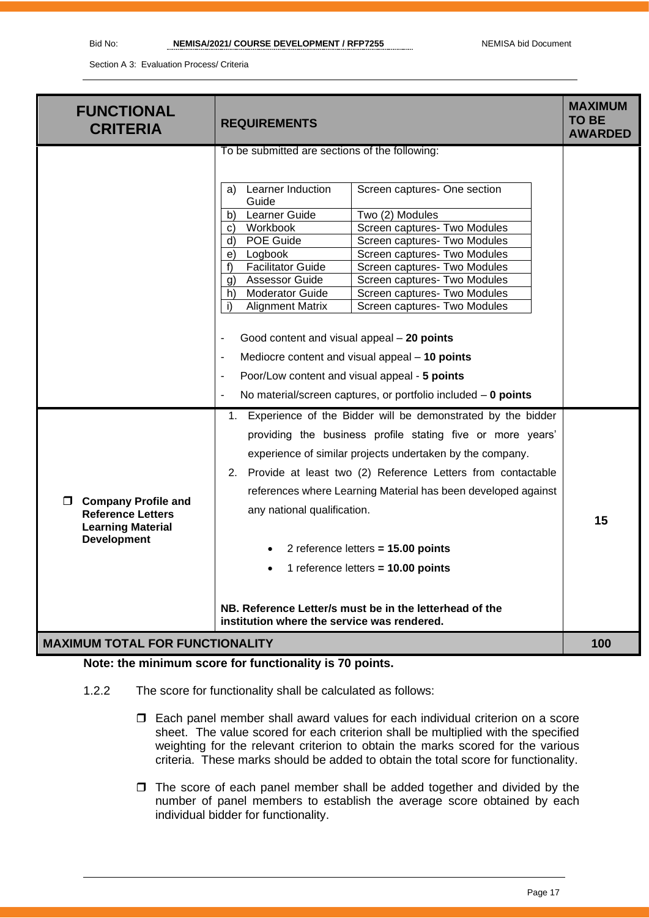| <b>FUNCTIONAL</b><br><b>CRITERIA</b>                                                                           | <b>REQUIREMENTS</b>                                                                                                                                                                                                                                                                                                                                                                                                                                                                                                                                                                                                                                                                                                                                                                                     | <b>MAXIMUM</b><br><b>TO BE</b><br><b>AWARDED</b> |
|----------------------------------------------------------------------------------------------------------------|---------------------------------------------------------------------------------------------------------------------------------------------------------------------------------------------------------------------------------------------------------------------------------------------------------------------------------------------------------------------------------------------------------------------------------------------------------------------------------------------------------------------------------------------------------------------------------------------------------------------------------------------------------------------------------------------------------------------------------------------------------------------------------------------------------|--------------------------------------------------|
|                                                                                                                | To be submitted are sections of the following:<br>Learner Induction<br>Screen captures- One section<br>a)<br>Guide<br>Learner Guide<br>Two (2) Modules<br>b)<br>Workbook<br>Screen captures- Two Modules<br>C)<br>POE Guide<br>Screen captures- Two Modules<br>d)<br>Screen captures- Two Modules<br>Logbook<br>e)<br><b>Facilitator Guide</b><br>Screen captures- Two Modules<br>f<br><b>Assessor Guide</b><br>Screen captures- Two Modules<br>g)<br><b>Moderator Guide</b><br>h)<br>Screen captures- Two Modules<br><b>Alignment Matrix</b><br>Screen captures- Two Modules<br>i)<br>Good content and visual appeal - 20 points<br>Mediocre content and visual appeal - 10 points<br>Poor/Low content and visual appeal - 5 points<br>No material/screen captures, or portfolio included $-$ 0 points |                                                  |
| <b>Company Profile and</b><br>Π.<br><b>Reference Letters</b><br><b>Learning Material</b><br><b>Development</b> | 1. Experience of the Bidder will be demonstrated by the bidder<br>providing the business profile stating five or more years'<br>experience of similar projects undertaken by the company.<br>2. Provide at least two (2) Reference Letters from contactable<br>references where Learning Material has been developed against<br>any national qualification.<br>2 reference letters = 15.00 points<br>1 reference letters = 10.00 points<br>NB. Reference Letter/s must be in the letterhead of the<br>institution where the service was rendered.                                                                                                                                                                                                                                                       | 15                                               |
| <b>MAXIMUM TOTAL FOR FUNCTIONALITY</b>                                                                         |                                                                                                                                                                                                                                                                                                                                                                                                                                                                                                                                                                                                                                                                                                                                                                                                         | 100                                              |

**Note: the minimum score for functionality is 70 points.**

- 1.2.2 The score for functionality shall be calculated as follows:
	- Each panel member shall award values for each individual criterion on a score sheet. The value scored for each criterion shall be multiplied with the specified weighting for the relevant criterion to obtain the marks scored for the various criteria. These marks should be added to obtain the total score for functionality.
	- $\Box$  The score of each panel member shall be added together and divided by the number of panel members to establish the average score obtained by each individual bidder for functionality.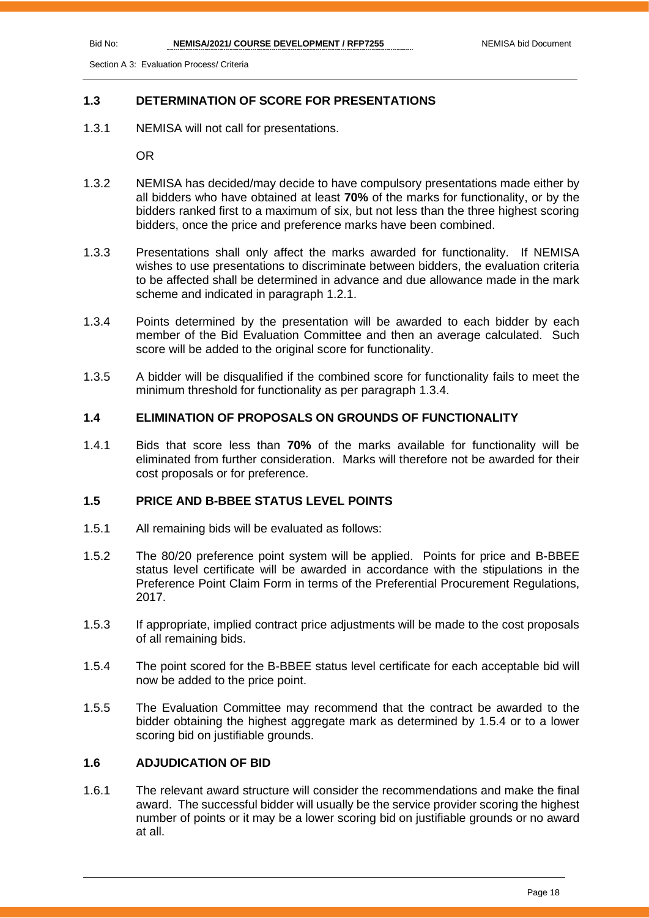#### **1.3 DETERMINATION OF SCORE FOR PRESENTATIONS**

1.3.1 NEMISA will not call for presentations.

OR

- 1.3.2 NEMISA has decided/may decide to have compulsory presentations made either by all bidders who have obtained at least **70%** of the marks for functionality, or by the bidders ranked first to a maximum of six, but not less than the three highest scoring bidders, once the price and preference marks have been combined.
- 1.3.3 Presentations shall only affect the marks awarded for functionality. If NEMISA wishes to use presentations to discriminate between bidders, the evaluation criteria to be affected shall be determined in advance and due allowance made in the mark scheme and indicated in paragraph 1.2.1.
- 1.3.4 Points determined by the presentation will be awarded to each bidder by each member of the Bid Evaluation Committee and then an average calculated. Such score will be added to the original score for functionality.
- 1.3.5 A bidder will be disqualified if the combined score for functionality fails to meet the minimum threshold for functionality as per paragraph 1.3.4.

#### **1.4 ELIMINATION OF PROPOSALS ON GROUNDS OF FUNCTIONALITY**

1.4.1 Bids that score less than **70%** of the marks available for functionality will be eliminated from further consideration. Marks will therefore not be awarded for their cost proposals or for preference.

#### **1.5 PRICE AND B-BBEE STATUS LEVEL POINTS**

- 1.5.1 All remaining bids will be evaluated as follows:
- 1.5.2 The 80/20 preference point system will be applied. Points for price and B-BBEE status level certificate will be awarded in accordance with the stipulations in the Preference Point Claim Form in terms of the Preferential Procurement Regulations, 2017.
- 1.5.3 If appropriate, implied contract price adjustments will be made to the cost proposals of all remaining bids.
- 1.5.4 The point scored for the B-BBEE status level certificate for each acceptable bid will now be added to the price point.
- 1.5.5 The Evaluation Committee may recommend that the contract be awarded to the bidder obtaining the highest aggregate mark as determined by 1.5.4 or to a lower scoring bid on justifiable grounds.

#### **1.6 ADJUDICATION OF BID**

1.6.1 The relevant award structure will consider the recommendations and make the final award. The successful bidder will usually be the service provider scoring the highest number of points or it may be a lower scoring bid on justifiable grounds or no award at all.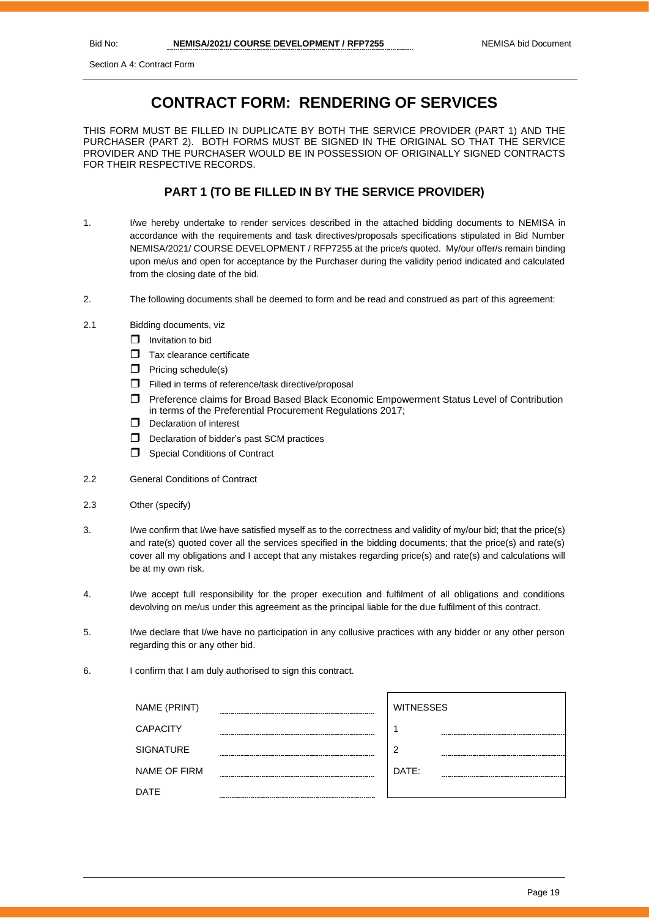Section A 4: Contract Form

## **CONTRACT FORM: RENDERING OF SERVICES**

THIS FORM MUST BE FILLED IN DUPLICATE BY BOTH THE SERVICE PROVIDER (PART 1) AND THE PURCHASER (PART 2). BOTH FORMS MUST BE SIGNED IN THE ORIGINAL SO THAT THE SERVICE PROVIDER AND THE PURCHASER WOULD BE IN POSSESSION OF ORIGINALLY SIGNED CONTRACTS FOR THEIR RESPECTIVE RECORDS.

#### **PART 1 (TO BE FILLED IN BY THE SERVICE PROVIDER)**

- 1. I/we hereby undertake to render services described in the attached bidding documents to NEMISA in accordance with the requirements and task directives/proposals specifications stipulated in Bid Number NEMISA/2021/ COURSE DEVELOPMENT / RFP7255 at the price/s quoted. My/our offer/s remain binding upon me/us and open for acceptance by the Purchaser during the validity period indicated and calculated from the closing date of the bid.
- 2. The following documents shall be deemed to form and be read and construed as part of this agreement:
- 2.1 Bidding documents, viz
	- $\Box$  Invitation to bid
	- $\Box$  Tax clearance certificate
	- $\Box$  Pricing schedule(s)
	- Filled in terms of reference/task directive/proposal
	- Preference claims for Broad Based Black Economic Empowerment Status Level of Contribution in terms of the Preferential Procurement Regulations 2017;
	- D Declaration of interest
	- $\Box$  Declaration of bidder's past SCM practices
	- **Special Conditions of Contract**
- 2.2 General Conditions of Contract
- 2.3 Other (specify)
- 3. I/we confirm that I/we have satisfied myself as to the correctness and validity of my/our bid; that the price(s) and rate(s) quoted cover all the services specified in the bidding documents; that the price(s) and rate(s) cover all my obligations and I accept that any mistakes regarding price(s) and rate(s) and calculations will be at my own risk.
- 4. I/we accept full responsibility for the proper execution and fulfilment of all obligations and conditions devolving on me/us under this agreement as the principal liable for the due fulfilment of this contract.
- 5. I/we declare that I/we have no participation in any collusive practices with any bidder or any other person regarding this or any other bid.
- 6. I confirm that I am duly authorised to sign this contract.

| NAME (PRINT)        |             | <b>WITNESSES</b> |
|---------------------|-------------|------------------|
| <b>CAPACITY</b>     |             |                  |
| <b>SIGNATURE</b>    |             | 2                |
| <b>NAME OF FIRM</b> |             | DATE:            |
| <b>DATE</b>         | ----------- |                  |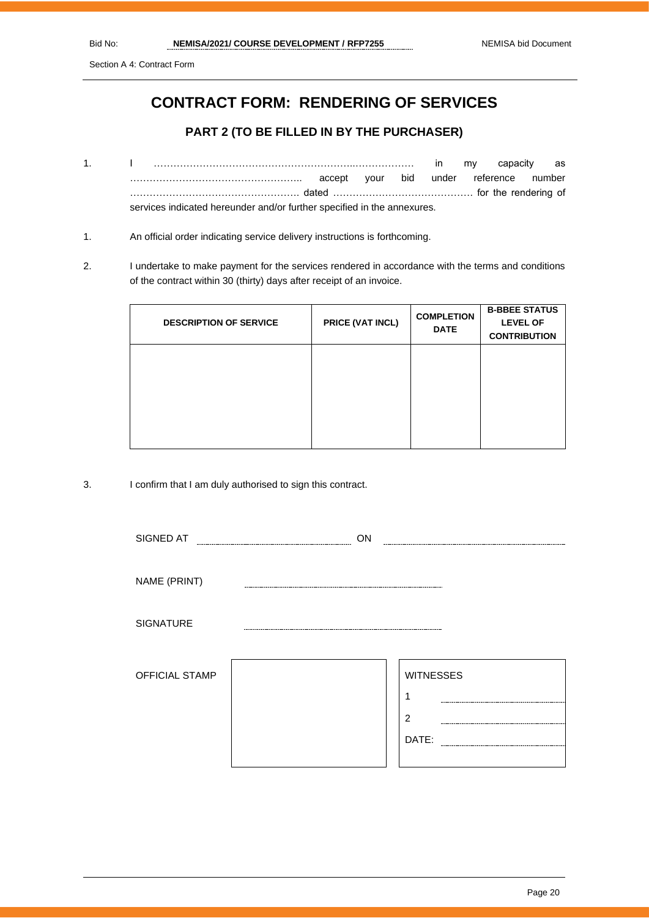Section A 4: Contract Form

## **CONTRACT FORM: RENDERING OF SERVICES**

#### **PART 2 (TO BE FILLED IN BY THE PURCHASER)**

- 1. I ……………………………………………………..……………… in my capacity as …………………………………………….. accept your bid under reference number ……………………………………………. dated ……………………………………. for the rendering of services indicated hereunder and/or further specified in the annexures.
- 1. An official order indicating service delivery instructions is forthcoming.
- 2. I undertake to make payment for the services rendered in accordance with the terms and conditions of the contract within 30 (thirty) days after receipt of an invoice.

| <b>DESCRIPTION OF SERVICE</b> | PRICE (VAT INCL) | <b>COMPLETION</b><br><b>DATE</b> | <b>B-BBEE STATUS</b><br><b>LEVEL OF</b><br><b>CONTRIBUTION</b> |
|-------------------------------|------------------|----------------------------------|----------------------------------------------------------------|
|                               |                  |                                  |                                                                |
|                               |                  |                                  |                                                                |

3. I confirm that I am duly authorised to sign this contract.

| SIGNED AT        | ON |                  |
|------------------|----|------------------|
|                  |    |                  |
| NAME (PRINT)     |    |                  |
| <b>SIGNATURE</b> |    |                  |
| OFFICIAL STAMP   |    | <b>WITNESSES</b> |
|                  |    | ٠                |
|                  |    | $\overline{2}$   |
|                  |    | DATE:            |
|                  |    |                  |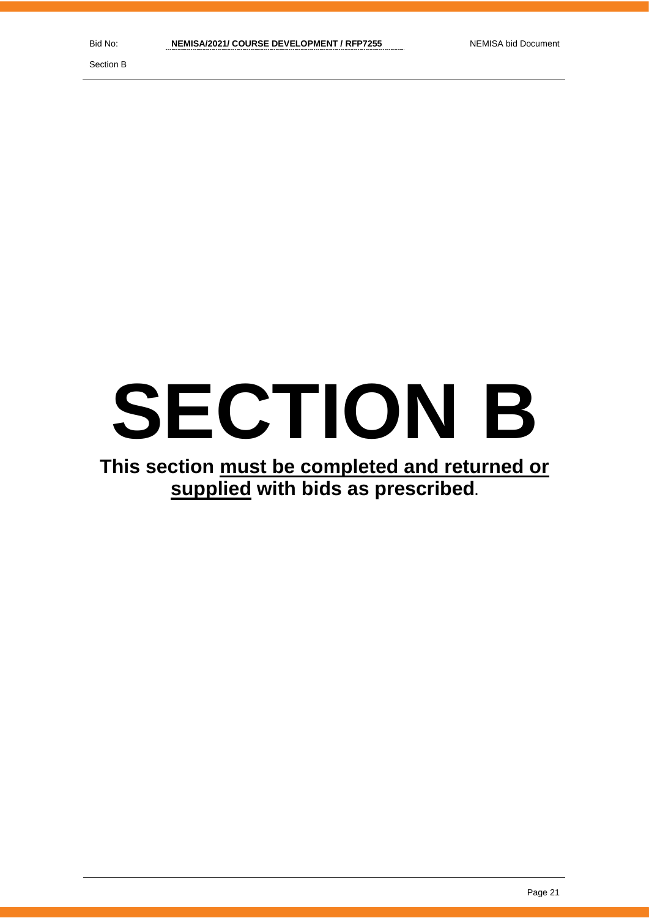Section B

## **SECTION B**

## **This section must be completed and returned or supplied with bids as prescribed.**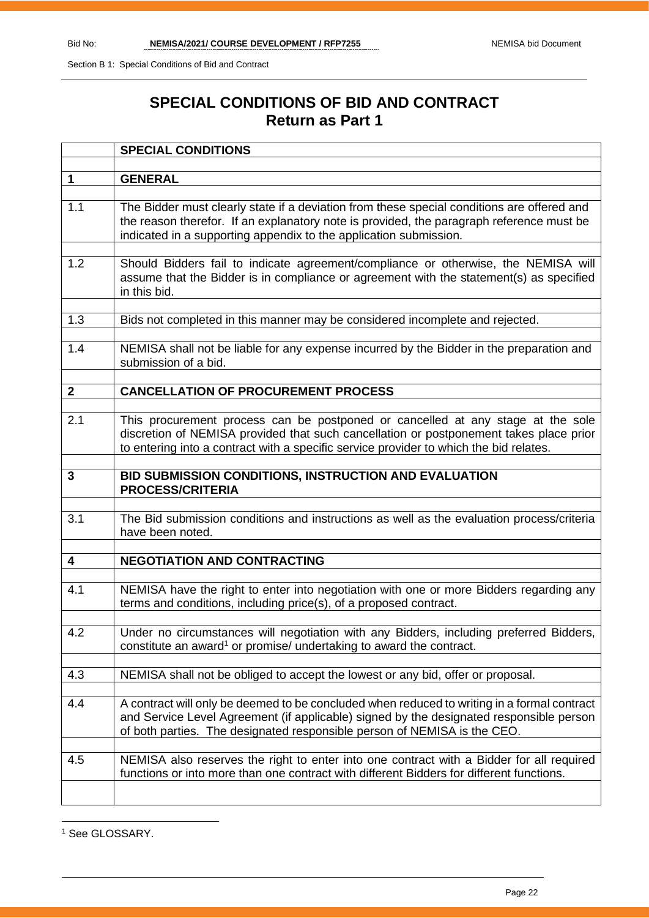## **SPECIAL CONDITIONS OF BID AND CONTRACT Return as Part 1**

|                         | <b>SPECIAL CONDITIONS</b>                                                                                                                                                                                                                                           |
|-------------------------|---------------------------------------------------------------------------------------------------------------------------------------------------------------------------------------------------------------------------------------------------------------------|
|                         |                                                                                                                                                                                                                                                                     |
| 1                       | <b>GENERAL</b>                                                                                                                                                                                                                                                      |
|                         |                                                                                                                                                                                                                                                                     |
| 1.1                     | The Bidder must clearly state if a deviation from these special conditions are offered and<br>the reason therefor. If an explanatory note is provided, the paragraph reference must be<br>indicated in a supporting appendix to the application submission.         |
|                         |                                                                                                                                                                                                                                                                     |
| 1.2                     | Should Bidders fail to indicate agreement/compliance or otherwise, the NEMISA will<br>assume that the Bidder is in compliance or agreement with the statement(s) as specified<br>in this bid.                                                                       |
|                         |                                                                                                                                                                                                                                                                     |
| 1.3                     | Bids not completed in this manner may be considered incomplete and rejected.                                                                                                                                                                                        |
| 1.4                     | NEMISA shall not be liable for any expense incurred by the Bidder in the preparation and<br>submission of a bid.                                                                                                                                                    |
|                         |                                                                                                                                                                                                                                                                     |
| $\mathbf{2}$            | <b>CANCELLATION OF PROCUREMENT PROCESS</b>                                                                                                                                                                                                                          |
|                         |                                                                                                                                                                                                                                                                     |
| 2.1                     | This procurement process can be postponed or cancelled at any stage at the sole<br>discretion of NEMISA provided that such cancellation or postponement takes place prior<br>to entering into a contract with a specific service provider to which the bid relates. |
| 3                       |                                                                                                                                                                                                                                                                     |
|                         | BID SUBMISSION CONDITIONS, INSTRUCTION AND EVALUATION<br><b>PROCESS/CRITERIA</b>                                                                                                                                                                                    |
|                         |                                                                                                                                                                                                                                                                     |
| 3.1                     | The Bid submission conditions and instructions as well as the evaluation process/criteria<br>have been noted.                                                                                                                                                       |
|                         |                                                                                                                                                                                                                                                                     |
| $\overline{\mathbf{4}}$ | <b>NEGOTIATION AND CONTRACTING</b>                                                                                                                                                                                                                                  |
| 4.1                     | NEMISA have the right to enter into negotiation with one or more Bidders regarding any<br>terms and conditions, including price(s), of a proposed contract.                                                                                                         |
| 4.2                     | Under no circumstances will negotiation with any Bidders, including preferred Bidders,                                                                                                                                                                              |
|                         | constitute an award <sup>1</sup> or promise/ undertaking to award the contract.                                                                                                                                                                                     |
|                         |                                                                                                                                                                                                                                                                     |
| 4.3                     | NEMISA shall not be obliged to accept the lowest or any bid, offer or proposal.                                                                                                                                                                                     |
|                         |                                                                                                                                                                                                                                                                     |
| 4.4                     | A contract will only be deemed to be concluded when reduced to writing in a formal contract<br>and Service Level Agreement (if applicable) signed by the designated responsible person<br>of both parties. The designated responsible person of NEMISA is the CEO.  |
|                         |                                                                                                                                                                                                                                                                     |
| 4.5                     | NEMISA also reserves the right to enter into one contract with a Bidder for all required<br>functions or into more than one contract with different Bidders for different functions.                                                                                |
|                         |                                                                                                                                                                                                                                                                     |

<sup>1</sup> See GLOSSARY.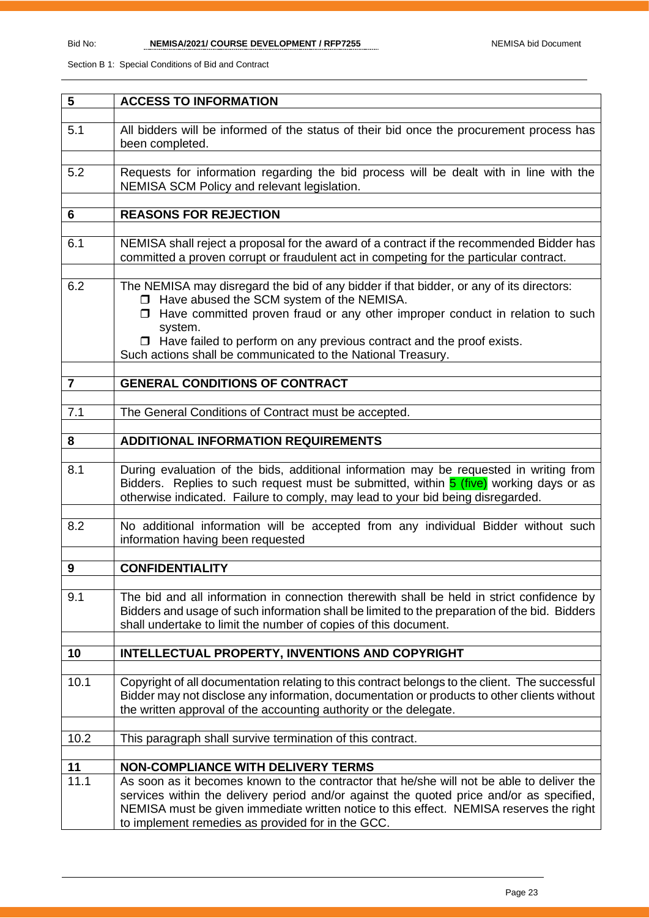| 5                | <b>ACCESS TO INFORMATION</b>                                                                                                                                                                                                                                               |
|------------------|----------------------------------------------------------------------------------------------------------------------------------------------------------------------------------------------------------------------------------------------------------------------------|
|                  |                                                                                                                                                                                                                                                                            |
| 5.1              | All bidders will be informed of the status of their bid once the procurement process has<br>been completed.                                                                                                                                                                |
| 5.2              | Requests for information regarding the bid process will be dealt with in line with the                                                                                                                                                                                     |
|                  | NEMISA SCM Policy and relevant legislation.                                                                                                                                                                                                                                |
|                  |                                                                                                                                                                                                                                                                            |
| 6                | <b>REASONS FOR REJECTION</b>                                                                                                                                                                                                                                               |
|                  |                                                                                                                                                                                                                                                                            |
| 6.1              | NEMISA shall reject a proposal for the award of a contract if the recommended Bidder has<br>committed a proven corrupt or fraudulent act in competing for the particular contract.                                                                                         |
|                  |                                                                                                                                                                                                                                                                            |
| 6.2              | The NEMISA may disregard the bid of any bidder if that bidder, or any of its directors:<br>□ Have abused the SCM system of the NEMISA.                                                                                                                                     |
|                  | $\Box$ Have committed proven fraud or any other improper conduct in relation to such                                                                                                                                                                                       |
|                  | system.<br>$\Box$ Have failed to perform on any previous contract and the proof exists.                                                                                                                                                                                    |
|                  | Such actions shall be communicated to the National Treasury.                                                                                                                                                                                                               |
|                  |                                                                                                                                                                                                                                                                            |
| $\overline{7}$   | <b>GENERAL CONDITIONS OF CONTRACT</b>                                                                                                                                                                                                                                      |
|                  |                                                                                                                                                                                                                                                                            |
| 7.1              | The General Conditions of Contract must be accepted.                                                                                                                                                                                                                       |
| 8                | <b>ADDITIONAL INFORMATION REQUIREMENTS</b>                                                                                                                                                                                                                                 |
|                  |                                                                                                                                                                                                                                                                            |
| 8.1              | During evaluation of the bids, additional information may be requested in writing from<br>Bidders. Replies to such request must be submitted, within <b>5 (five)</b> working days or as<br>otherwise indicated. Failure to comply, may lead to your bid being disregarded. |
|                  |                                                                                                                                                                                                                                                                            |
| 8.2              | No additional information will be accepted from any individual Bidder without such<br>information having been requested                                                                                                                                                    |
| $\boldsymbol{9}$ | <b>CONFIDENTIALITY</b>                                                                                                                                                                                                                                                     |
|                  |                                                                                                                                                                                                                                                                            |
| 9.1              | The bid and all information in connection therewith shall be held in strict confidence by<br>Bidders and usage of such information shall be limited to the preparation of the bid. Bidders<br>shall undertake to limit the number of copies of this document.              |
|                  | <b>INTELLECTUAL PROPERTY, INVENTIONS AND COPYRIGHT</b>                                                                                                                                                                                                                     |
| 10               |                                                                                                                                                                                                                                                                            |
| 10.1             | Copyright of all documentation relating to this contract belongs to the client. The successful                                                                                                                                                                             |
|                  | Bidder may not disclose any information, documentation or products to other clients without                                                                                                                                                                                |
|                  | the written approval of the accounting authority or the delegate.                                                                                                                                                                                                          |
|                  |                                                                                                                                                                                                                                                                            |
| 10.2             | This paragraph shall survive termination of this contract.                                                                                                                                                                                                                 |
| 11               | <b>NON-COMPLIANCE WITH DELIVERY TERMS</b>                                                                                                                                                                                                                                  |
| 11.1             | As soon as it becomes known to the contractor that he/she will not be able to deliver the                                                                                                                                                                                  |
|                  | services within the delivery period and/or against the quoted price and/or as specified,<br>NEMISA must be given immediate written notice to this effect. NEMISA reserves the right<br>to implement remedies as provided for in the GCC.                                   |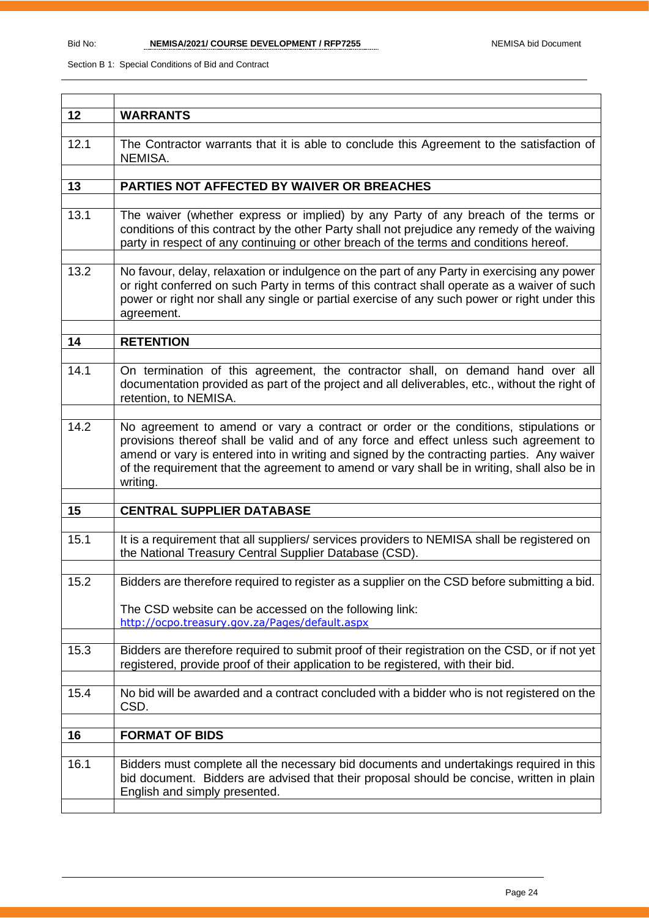| 12   | <b>WARRANTS</b>                                                                                                                                                                                                                                                                                                                                                                          |
|------|------------------------------------------------------------------------------------------------------------------------------------------------------------------------------------------------------------------------------------------------------------------------------------------------------------------------------------------------------------------------------------------|
|      |                                                                                                                                                                                                                                                                                                                                                                                          |
| 12.1 | The Contractor warrants that it is able to conclude this Agreement to the satisfaction of<br>NEMISA.                                                                                                                                                                                                                                                                                     |
|      |                                                                                                                                                                                                                                                                                                                                                                                          |
| 13   | PARTIES NOT AFFECTED BY WAIVER OR BREACHES                                                                                                                                                                                                                                                                                                                                               |
|      |                                                                                                                                                                                                                                                                                                                                                                                          |
| 13.1 | The waiver (whether express or implied) by any Party of any breach of the terms or<br>conditions of this contract by the other Party shall not prejudice any remedy of the waiving<br>party in respect of any continuing or other breach of the terms and conditions hereof.                                                                                                             |
| 13.2 | No favour, delay, relaxation or indulgence on the part of any Party in exercising any power                                                                                                                                                                                                                                                                                              |
|      | or right conferred on such Party in terms of this contract shall operate as a waiver of such<br>power or right nor shall any single or partial exercise of any such power or right under this<br>agreement.                                                                                                                                                                              |
|      |                                                                                                                                                                                                                                                                                                                                                                                          |
| 14   | <b>RETENTION</b>                                                                                                                                                                                                                                                                                                                                                                         |
|      |                                                                                                                                                                                                                                                                                                                                                                                          |
| 14.1 | On termination of this agreement, the contractor shall, on demand hand over all<br>documentation provided as part of the project and all deliverables, etc., without the right of<br>retention, to NEMISA.                                                                                                                                                                               |
|      |                                                                                                                                                                                                                                                                                                                                                                                          |
| 14.2 | No agreement to amend or vary a contract or order or the conditions, stipulations or<br>provisions thereof shall be valid and of any force and effect unless such agreement to<br>amend or vary is entered into in writing and signed by the contracting parties. Any waiver<br>of the requirement that the agreement to amend or vary shall be in writing, shall also be in<br>writing. |
|      |                                                                                                                                                                                                                                                                                                                                                                                          |
| 15   | <b>CENTRAL SUPPLIER DATABASE</b>                                                                                                                                                                                                                                                                                                                                                         |
| 15.1 | It is a requirement that all suppliers/ services providers to NEMISA shall be registered on<br>the National Treasury Central Supplier Database (CSD).                                                                                                                                                                                                                                    |
| 15.2 |                                                                                                                                                                                                                                                                                                                                                                                          |
|      | Bidders are therefore required to register as a supplier on the CSD before submitting a bid.                                                                                                                                                                                                                                                                                             |
|      | The CSD website can be accessed on the following link:<br>http://ocpo.treasury.gov.za/Pages/default.aspx                                                                                                                                                                                                                                                                                 |
| 15.3 |                                                                                                                                                                                                                                                                                                                                                                                          |
|      | Bidders are therefore required to submit proof of their registration on the CSD, or if not yet<br>registered, provide proof of their application to be registered, with their bid.                                                                                                                                                                                                       |
| 15.4 | No bid will be awarded and a contract concluded with a bidder who is not registered on the<br>CSD.                                                                                                                                                                                                                                                                                       |
| 16   | <b>FORMAT OF BIDS</b>                                                                                                                                                                                                                                                                                                                                                                    |
|      |                                                                                                                                                                                                                                                                                                                                                                                          |
|      |                                                                                                                                                                                                                                                                                                                                                                                          |
| 16.1 | Bidders must complete all the necessary bid documents and undertakings required in this<br>bid document. Bidders are advised that their proposal should be concise, written in plain<br>English and simply presented.                                                                                                                                                                    |
|      |                                                                                                                                                                                                                                                                                                                                                                                          |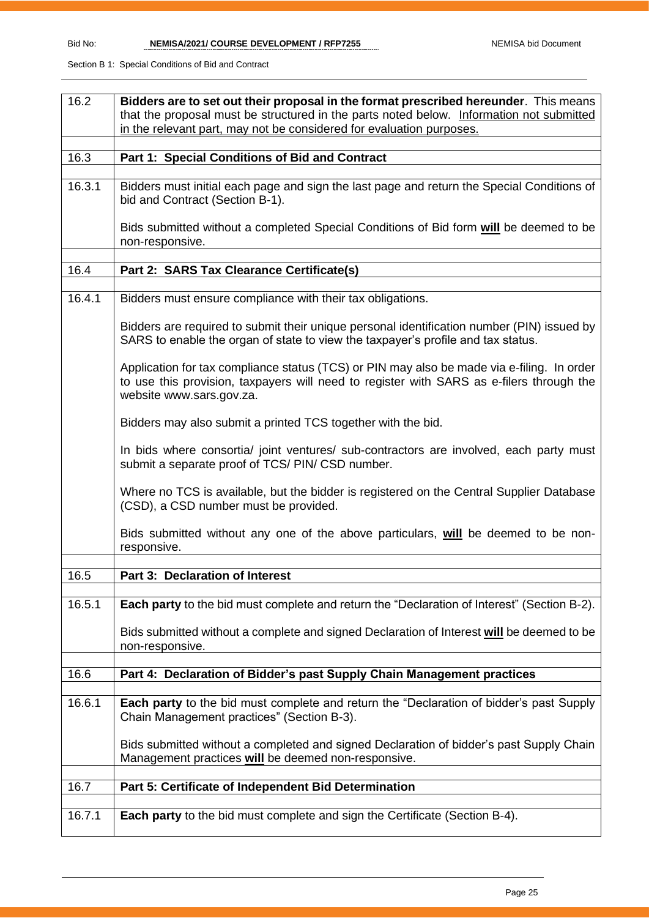| 16.2   | Bidders are to set out their proposal in the format prescribed hereunder. This means                                                                                                                               |
|--------|--------------------------------------------------------------------------------------------------------------------------------------------------------------------------------------------------------------------|
|        | that the proposal must be structured in the parts noted below. Information not submitted<br>in the relevant part, may not be considered for evaluation purposes.                                                   |
|        |                                                                                                                                                                                                                    |
| 16.3   | Part 1: Special Conditions of Bid and Contract                                                                                                                                                                     |
|        |                                                                                                                                                                                                                    |
| 16.3.1 | Bidders must initial each page and sign the last page and return the Special Conditions of<br>bid and Contract (Section B-1).                                                                                      |
|        | Bids submitted without a completed Special Conditions of Bid form will be deemed to be<br>non-responsive.                                                                                                          |
| 16.4   | Part 2: SARS Tax Clearance Certificate(s)                                                                                                                                                                          |
|        |                                                                                                                                                                                                                    |
| 16.4.1 | Bidders must ensure compliance with their tax obligations.                                                                                                                                                         |
|        | Bidders are required to submit their unique personal identification number (PIN) issued by<br>SARS to enable the organ of state to view the taxpayer's profile and tax status.                                     |
|        | Application for tax compliance status (TCS) or PIN may also be made via e-filing. In order<br>to use this provision, taxpayers will need to register with SARS as e-filers through the<br>website www.sars.gov.za. |
|        | Bidders may also submit a printed TCS together with the bid.                                                                                                                                                       |
|        | In bids where consortia/ joint ventures/ sub-contractors are involved, each party must<br>submit a separate proof of TCS/ PIN/ CSD number.                                                                         |
|        | Where no TCS is available, but the bidder is registered on the Central Supplier Database<br>(CSD), a CSD number must be provided.                                                                                  |
|        | Bids submitted without any one of the above particulars, will be deemed to be non-<br>responsive.                                                                                                                  |
| 16.5   | <b>Part 3: Declaration of Interest</b>                                                                                                                                                                             |
|        |                                                                                                                                                                                                                    |
| 16.5.1 | <b>Each party</b> to the bid must complete and return the "Declaration of Interest" (Section B-2).                                                                                                                 |
|        | Bids submitted without a complete and signed Declaration of Interest will be deemed to be<br>non-responsive.                                                                                                       |
| 16.6   | Part 4: Declaration of Bidder's past Supply Chain Management practices                                                                                                                                             |
|        |                                                                                                                                                                                                                    |
| 16.6.1 | Each party to the bid must complete and return the "Declaration of bidder's past Supply<br>Chain Management practices" (Section B-3).                                                                              |
|        | Bids submitted without a completed and signed Declaration of bidder's past Supply Chain<br>Management practices will be deemed non-responsive.                                                                     |
| 16.7   | Part 5: Certificate of Independent Bid Determination                                                                                                                                                               |
|        |                                                                                                                                                                                                                    |
| 16.7.1 | <b>Each party</b> to the bid must complete and sign the Certificate (Section B-4).                                                                                                                                 |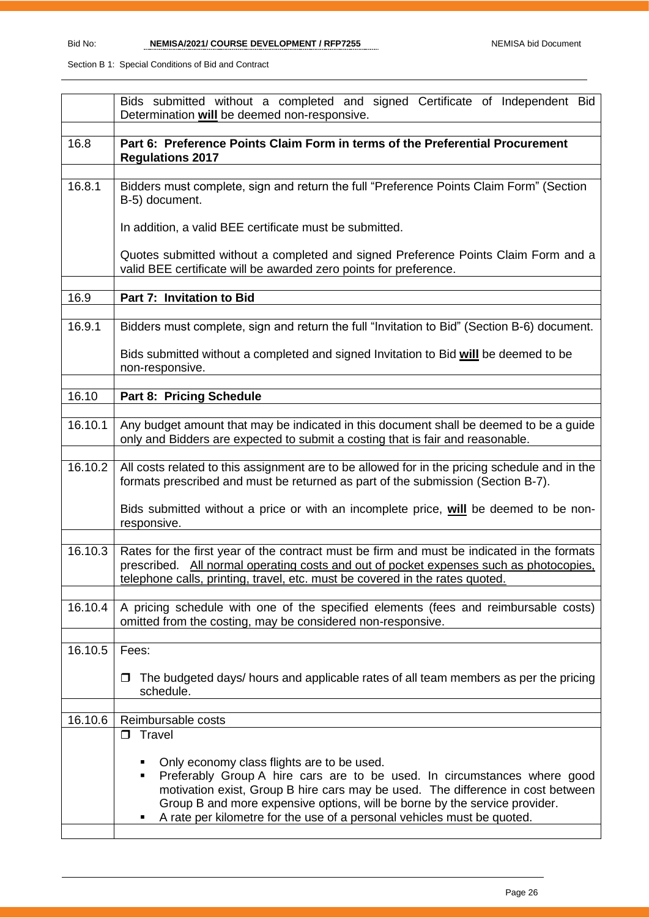|         | Bids submitted without a completed and signed Certificate of Independent Bid<br>Determination will be deemed non-responsive.                                                                                                                                                                                                                                            |
|---------|-------------------------------------------------------------------------------------------------------------------------------------------------------------------------------------------------------------------------------------------------------------------------------------------------------------------------------------------------------------------------|
| 16.8    | Part 6: Preference Points Claim Form in terms of the Preferential Procurement<br><b>Regulations 2017</b>                                                                                                                                                                                                                                                                |
| 16.8.1  | Bidders must complete, sign and return the full "Preference Points Claim Form" (Section<br>B-5) document.                                                                                                                                                                                                                                                               |
|         | In addition, a valid BEE certificate must be submitted.                                                                                                                                                                                                                                                                                                                 |
|         | Quotes submitted without a completed and signed Preference Points Claim Form and a<br>valid BEE certificate will be awarded zero points for preference.                                                                                                                                                                                                                 |
| 16.9    | Part 7: Invitation to Bid                                                                                                                                                                                                                                                                                                                                               |
| 16.9.1  | Bidders must complete, sign and return the full "Invitation to Bid" (Section B-6) document.                                                                                                                                                                                                                                                                             |
|         | Bids submitted without a completed and signed Invitation to Bid will be deemed to be<br>non-responsive.                                                                                                                                                                                                                                                                 |
| 16.10   | Part 8: Pricing Schedule                                                                                                                                                                                                                                                                                                                                                |
| 16.10.1 | Any budget amount that may be indicated in this document shall be deemed to be a guide<br>only and Bidders are expected to submit a costing that is fair and reasonable.                                                                                                                                                                                                |
| 16.10.2 | All costs related to this assignment are to be allowed for in the pricing schedule and in the<br>formats prescribed and must be returned as part of the submission (Section B-7).                                                                                                                                                                                       |
|         | Bids submitted without a price or with an incomplete price, will be deemed to be non-<br>responsive.                                                                                                                                                                                                                                                                    |
| 16.10.3 | Rates for the first year of the contract must be firm and must be indicated in the formats<br>prescribed. All normal operating costs and out of pocket expenses such as photocopies.<br>telephone calls, printing, travel, etc. must be covered in the rates quoted.                                                                                                    |
| 16.10.4 | A pricing schedule with one of the specified elements (fees and reimbursable costs)<br>omitted from the costing, may be considered non-responsive.                                                                                                                                                                                                                      |
| 16.10.5 | Fees:                                                                                                                                                                                                                                                                                                                                                                   |
|         | The budgeted days/ hours and applicable rates of all team members as per the pricing<br>□<br>schedule.                                                                                                                                                                                                                                                                  |
| 16.10.6 | Reimbursable costs                                                                                                                                                                                                                                                                                                                                                      |
|         | $\Box$ Travel                                                                                                                                                                                                                                                                                                                                                           |
|         | Only economy class flights are to be used.<br>Preferably Group A hire cars are to be used. In circumstances where good<br>٠<br>motivation exist, Group B hire cars may be used. The difference in cost between<br>Group B and more expensive options, will be borne by the service provider.<br>A rate per kilometre for the use of a personal vehicles must be quoted. |
|         |                                                                                                                                                                                                                                                                                                                                                                         |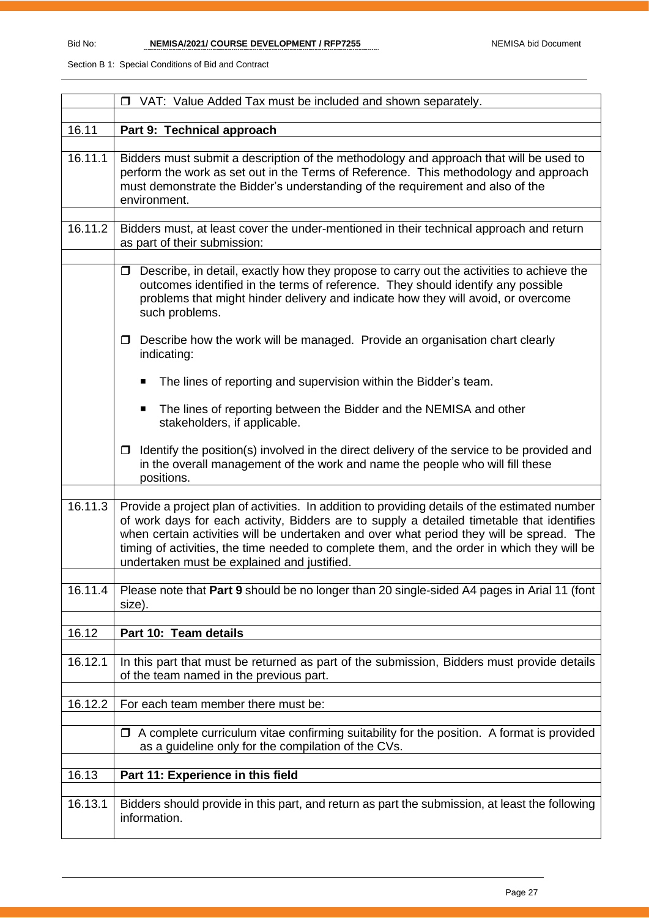|         | □ VAT: Value Added Tax must be included and shown separately.                                                                                                                                                                                                                                                                                                                                                                          |
|---------|----------------------------------------------------------------------------------------------------------------------------------------------------------------------------------------------------------------------------------------------------------------------------------------------------------------------------------------------------------------------------------------------------------------------------------------|
|         |                                                                                                                                                                                                                                                                                                                                                                                                                                        |
| 16.11   | Part 9: Technical approach                                                                                                                                                                                                                                                                                                                                                                                                             |
| 16.11.1 | Bidders must submit a description of the methodology and approach that will be used to<br>perform the work as set out in the Terms of Reference. This methodology and approach<br>must demonstrate the Bidder's understanding of the requirement and also of the<br>environment.                                                                                                                                                       |
| 16.11.2 | Bidders must, at least cover the under-mentioned in their technical approach and return                                                                                                                                                                                                                                                                                                                                                |
|         | as part of their submission:                                                                                                                                                                                                                                                                                                                                                                                                           |
|         |                                                                                                                                                                                                                                                                                                                                                                                                                                        |
|         | Describe, in detail, exactly how they propose to carry out the activities to achieve the<br>$\Box$<br>outcomes identified in the terms of reference. They should identify any possible<br>problems that might hinder delivery and indicate how they will avoid, or overcome<br>such problems.                                                                                                                                          |
|         | Describe how the work will be managed. Provide an organisation chart clearly<br>$\Box$<br>indicating:                                                                                                                                                                                                                                                                                                                                  |
|         | The lines of reporting and supervision within the Bidder's team.<br>п                                                                                                                                                                                                                                                                                                                                                                  |
|         | The lines of reporting between the Bidder and the NEMISA and other<br>$\blacksquare$<br>stakeholders, if applicable.                                                                                                                                                                                                                                                                                                                   |
|         | Identify the position(s) involved in the direct delivery of the service to be provided and<br>□<br>in the overall management of the work and name the people who will fill these<br>positions.                                                                                                                                                                                                                                         |
|         |                                                                                                                                                                                                                                                                                                                                                                                                                                        |
| 16.11.3 | Provide a project plan of activities. In addition to providing details of the estimated number<br>of work days for each activity, Bidders are to supply a detailed timetable that identifies<br>when certain activities will be undertaken and over what period they will be spread. The<br>timing of activities, the time needed to complete them, and the order in which they will be<br>undertaken must be explained and justified. |
| 16.11.4 | Please note that Part 9 should be no longer than 20 single-sided A4 pages in Arial 11 (font                                                                                                                                                                                                                                                                                                                                            |
|         | size).                                                                                                                                                                                                                                                                                                                                                                                                                                 |
|         |                                                                                                                                                                                                                                                                                                                                                                                                                                        |
| 16.12   | Part 10: Team details                                                                                                                                                                                                                                                                                                                                                                                                                  |
|         |                                                                                                                                                                                                                                                                                                                                                                                                                                        |
| 16.12.1 | In this part that must be returned as part of the submission, Bidders must provide details<br>of the team named in the previous part.                                                                                                                                                                                                                                                                                                  |
| 16.12.2 | For each team member there must be:                                                                                                                                                                                                                                                                                                                                                                                                    |
|         |                                                                                                                                                                                                                                                                                                                                                                                                                                        |
|         | $\Box$ A complete curriculum vitae confirming suitability for the position. A format is provided<br>as a guideline only for the compilation of the CVs.                                                                                                                                                                                                                                                                                |
| 16.13   | Part 11: Experience in this field                                                                                                                                                                                                                                                                                                                                                                                                      |
|         |                                                                                                                                                                                                                                                                                                                                                                                                                                        |
| 16.13.1 | Bidders should provide in this part, and return as part the submission, at least the following<br>information.                                                                                                                                                                                                                                                                                                                         |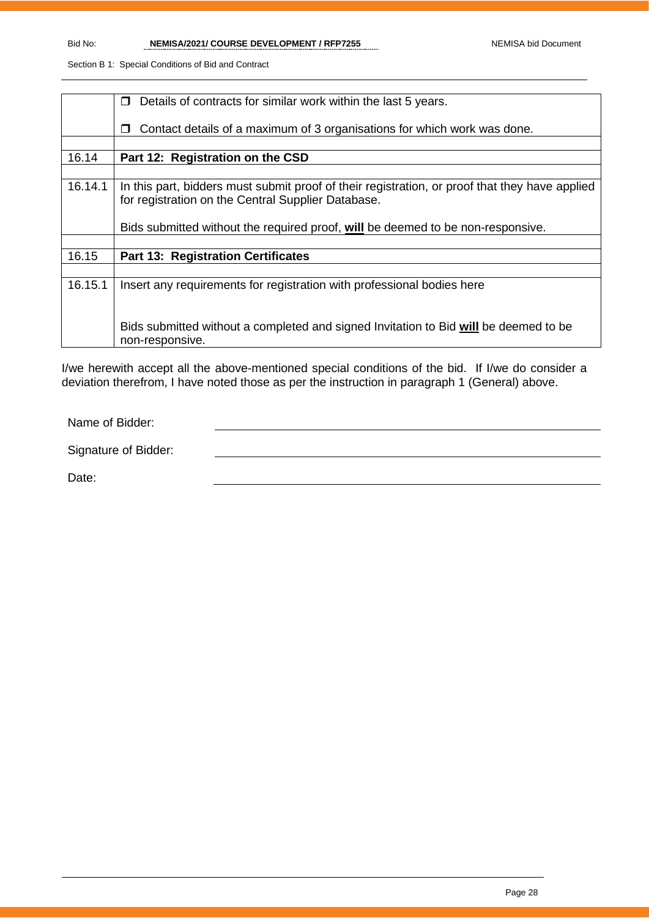|         | Details of contracts for similar work within the last 5 years.<br>$\Box$                       |
|---------|------------------------------------------------------------------------------------------------|
|         |                                                                                                |
|         |                                                                                                |
|         | Contact details of a maximum of 3 organisations for which work was done.<br>$\Box$             |
|         |                                                                                                |
| 16.14   | Part 12: Registration on the CSD                                                               |
|         |                                                                                                |
| 16.14.1 | In this part, bidders must submit proof of their registration, or proof that they have applied |
|         | for registration on the Central Supplier Database.                                             |
|         |                                                                                                |
|         |                                                                                                |
|         | Bids submitted without the required proof, will be deemed to be non-responsive.                |
|         |                                                                                                |
| 16.15   | <b>Part 13: Registration Certificates</b>                                                      |
|         |                                                                                                |
| 16.15.1 | Insert any requirements for registration with professional bodies here                         |
|         |                                                                                                |
|         |                                                                                                |
|         |                                                                                                |
|         | Bids submitted without a completed and signed Invitation to Bid will be deemed to be           |
|         | non-responsive.                                                                                |
|         |                                                                                                |

I/we herewith accept all the above-mentioned special conditions of the bid. If I/we do consider a deviation therefrom, I have noted those as per the instruction in paragraph 1 (General) above.

Name of Bidder:

Signature of Bidder:

Date: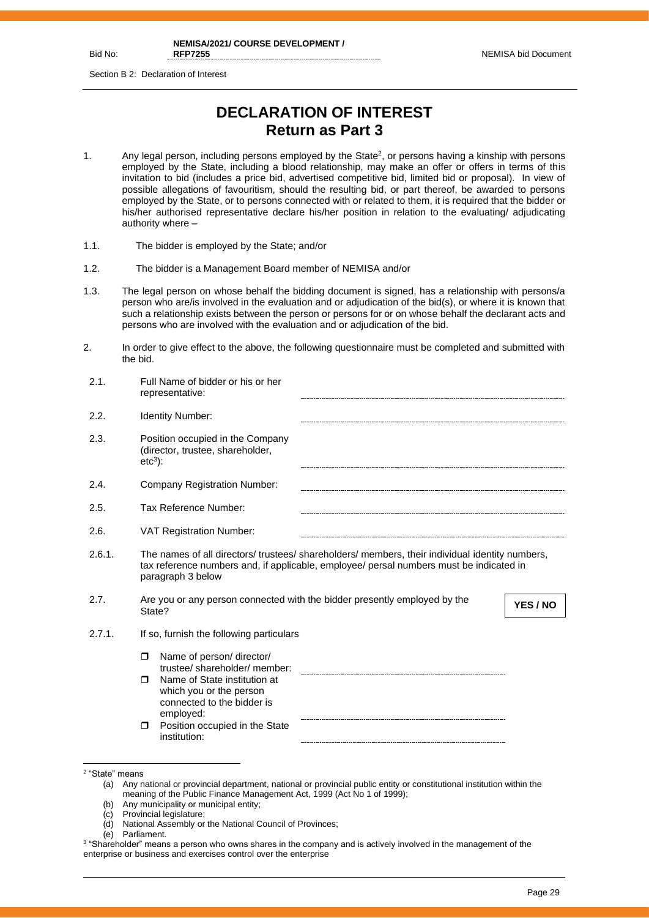Bid No:

Section B 2: Declaration of Interest

## **DECLARATION OF INTEREST Return as Part 3**

- 1. Any legal person, including persons employed by the State<sup>2</sup>, or persons having a kinship with persons employed by the State, including a blood relationship, may make an offer or offers in terms of this invitation to bid (includes a price bid, advertised competitive bid, limited bid or proposal). In view of possible allegations of favouritism, should the resulting bid, or part thereof, be awarded to persons employed by the State, or to persons connected with or related to them, it is required that the bidder or his/her authorised representative declare his/her position in relation to the evaluating/ adjudicating authority where –
- 1.1. The bidder is employed by the State; and/or
- 1.2. The bidder is a Management Board member of NEMISA and/or
- 1.3. The legal person on whose behalf the bidding document is signed, has a relationship with persons/a person who are/is involved in the evaluation and or adjudication of the bid(s), or where it is known that such a relationship exists between the person or persons for or on whose behalf the declarant acts and persons who are involved with the evaluation and or adjudication of the bid.
- 2. In order to give effect to the above, the following questionnaire must be completed and submitted with the bid.

| 2.1.   | Full Name of bidder or his or her<br>representative:                                                                                                                                                            |  |
|--------|-----------------------------------------------------------------------------------------------------------------------------------------------------------------------------------------------------------------|--|
| 2.2.   | <b>Identity Number:</b>                                                                                                                                                                                         |  |
| 2.3.   | Position occupied in the Company<br>(director, trustee, shareholder,<br>$etc3$ :                                                                                                                                |  |
| 2.4.   | <b>Company Registration Number:</b>                                                                                                                                                                             |  |
| 2.5.   | Tax Reference Number:                                                                                                                                                                                           |  |
| 2.6.   | <b>VAT Registration Number:</b>                                                                                                                                                                                 |  |
| 2.6.1. | The names of all directors/ trustees/ shareholders/ members, their individual identity numbers,<br>tax reference numbers and, if applicable, employee/ persal numbers must be indicated in<br>paragraph 3 below |  |
| 2.7.   | Are you or any person connected with the bidder presently employed by the<br>YES / NO<br>State?                                                                                                                 |  |
| 2.7.1. | If so, furnish the following particulars                                                                                                                                                                        |  |
|        | Name of person/ director/<br>$\Box$                                                                                                                                                                             |  |
|        | trustee/shareholder/member:<br>Name of State institution at<br>⊓<br>which you or the person<br>connected to the bidder is<br>employed:                                                                          |  |
|        | Position occupied in the State<br>$\Box$<br>institution:                                                                                                                                                        |  |

- (b) Any municipality or municipal entity;
- (c) Provincial legislature;
- (d) National Assembly or the National Council of Provinces;

<sup>2</sup> "State" means

<sup>(</sup>a) Any national or provincial department, national or provincial public entity or constitutional institution within the meaning of the Public Finance Management Act, 1999 (Act No 1 of 1999);

<sup>(</sup>e) Parliament.

<sup>3</sup> "Shareholder" means a person who owns shares in the company and is actively involved in the management of the enterprise or business and exercises control over the enterprise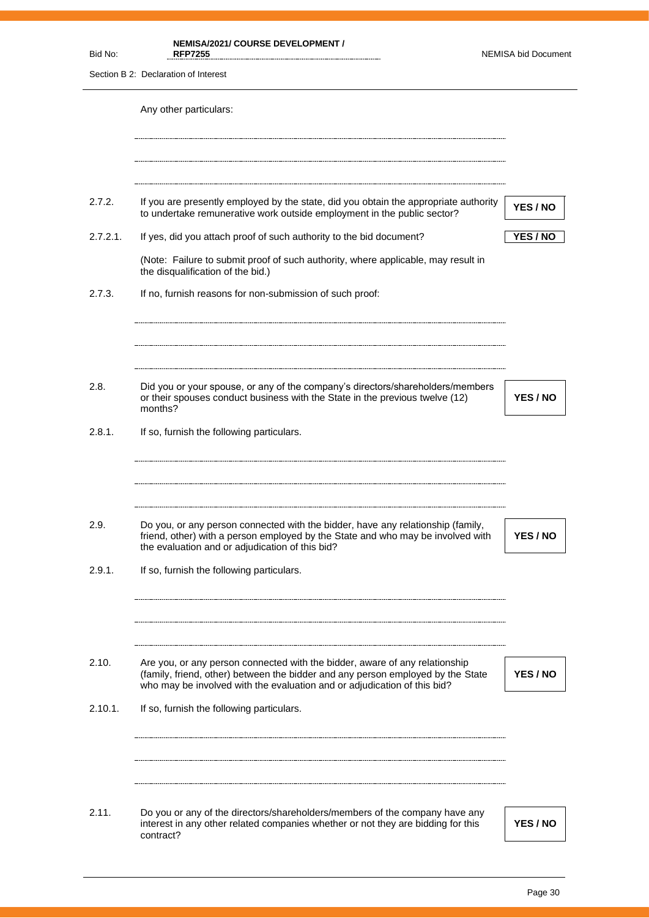| Bid No:        | <b>NEMISA/2021/ COURSE DEVELOPMENT /</b><br><b>RFP7255</b>                                                                                                                                                                                                         | <b>NEMISA bid Document</b> |
|----------------|--------------------------------------------------------------------------------------------------------------------------------------------------------------------------------------------------------------------------------------------------------------------|----------------------------|
|                | Section B 2: Declaration of Interest                                                                                                                                                                                                                               |                            |
|                | Any other particulars:                                                                                                                                                                                                                                             |                            |
| 2.7.2.         | If you are presently employed by the state, did you obtain the appropriate authority<br>to undertake remunerative work outside employment in the public sector?                                                                                                    | YES / NO                   |
| $2.7.2.1$ .    | If yes, did you attach proof of such authority to the bid document?                                                                                                                                                                                                | YES / NO                   |
|                | (Note: Failure to submit proof of such authority, where applicable, may result in<br>the disqualification of the bid.)                                                                                                                                             |                            |
| 2.7.3.         | If no, furnish reasons for non-submission of such proof:                                                                                                                                                                                                           |                            |
| 2.8.           | Did you or your spouse, or any of the company's directors/shareholders/members<br>or their spouses conduct business with the State in the previous twelve (12)                                                                                                     | YES / NO                   |
| 2.8.1.         | months?<br>If so, furnish the following particulars.                                                                                                                                                                                                               |                            |
| 2.9.<br>2.9.1. | Do you, or any person connected with the bidder, have any relationship (family,<br>friend, other) with a person employed by the State and who may be involved with<br>the evaluation and or adjudication of this bid?<br>If so, furnish the following particulars. | YES / NO                   |
| 2.10.          | Are you, or any person connected with the bidder, aware of any relationship<br>(family, friend, other) between the bidder and any person employed by the State<br>who may be involved with the evaluation and or adjudication of this bid?                         | YES / NO                   |
| 2.10.1.        | If so, furnish the following particulars.                                                                                                                                                                                                                          |                            |
| 2.11.          | Do you or any of the directors/shareholders/members of the company have any<br>interest in any other related companies whether or not they are bidding for this<br>contract?                                                                                       | YES / NO                   |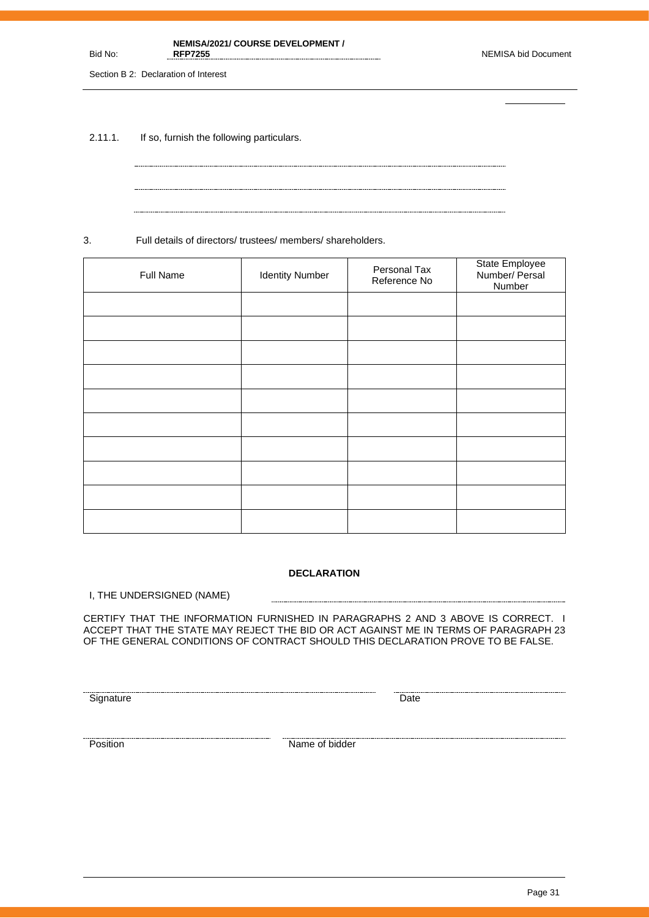**NEMISA/2021/ COURSE DEVELOPMENT /** 

Section B 2: Declaration of Interest

Bid No:

2.11.1. If so, furnish the following particulars.

3. Full details of directors/ trustees/ members/ shareholders.

| Full Name | <b>Identity Number</b> | Personal Tax<br>Reference No | State Employee<br>Number/ Persal<br>Number |
|-----------|------------------------|------------------------------|--------------------------------------------|
|           |                        |                              |                                            |
|           |                        |                              |                                            |
|           |                        |                              |                                            |
|           |                        |                              |                                            |
|           |                        |                              |                                            |
|           |                        |                              |                                            |
|           |                        |                              |                                            |
|           |                        |                              |                                            |
|           |                        |                              |                                            |
|           |                        |                              |                                            |

#### **DECLARATION**

------------------------

I, THE UNDERSIGNED (NAME)

CERTIFY THAT THE INFORMATION FURNISHED IN PARAGRAPHS 2 AND 3 ABOVE IS CORRECT. I ACCEPT THAT THE STATE MAY REJECT THE BID OR ACT AGAINST ME IN TERMS OF PARAGRAPH 23 OF THE GENERAL CONDITIONS OF CONTRACT SHOULD THIS DECLARATION PROVE TO BE FALSE.

<u>Signature</u> Date **Construction Construction** Date **Construction** Date **Construction** Date

Exames a material contract of bidder and the position of bidder  $\blacksquare$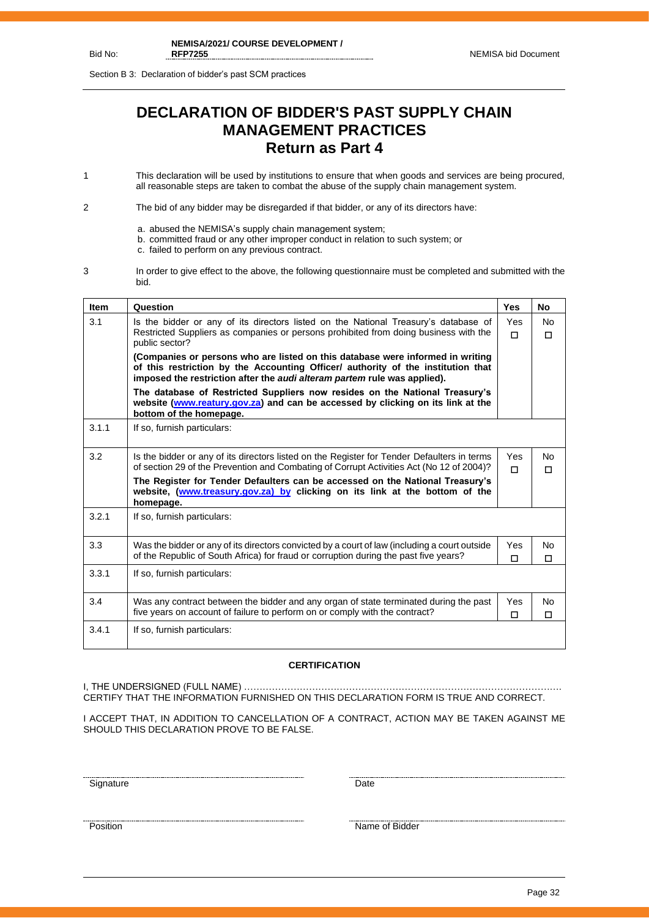Section B 3: Declaration of bidder's past SCM practices

## **DECLARATION OF BIDDER'S PAST SUPPLY CHAIN MANAGEMENT PRACTICES Return as Part 4**

1 This declaration will be used by institutions to ensure that when goods and services are being procured, all reasonable steps are taken to combat the abuse of the supply chain management system.

2 The bid of any bidder may be disregarded if that bidder, or any of its directors have:

- a. abused the NEMISA's supply chain management system;
- b. committed fraud or any other improper conduct in relation to such system; or
- c. failed to perform on any previous contract.
- 3 In order to give effect to the above, the following questionnaire must be completed and submitted with the bid.

| <b>Item</b> | Question                                                                                                                                                                                                                                                         | Yes           | No                  |
|-------------|------------------------------------------------------------------------------------------------------------------------------------------------------------------------------------------------------------------------------------------------------------------|---------------|---------------------|
| 3.1         | Is the bidder or any of its directors listed on the National Treasury's database of<br>Restricted Suppliers as companies or persons prohibited from doing business with the                                                                                      | Yes<br>$\Box$ | <b>No</b><br>$\Box$ |
|             | public sector?<br>(Companies or persons who are listed on this database were informed in writing<br>of this restriction by the Accounting Officer/ authority of the institution that<br>imposed the restriction after the audi alteram partem rule was applied). |               |                     |
|             | The database of Restricted Suppliers now resides on the National Treasury's<br>website (www.reatury.gov.za) and can be accessed by clicking on its link at the<br>bottom of the homepage.                                                                        |               |                     |
| 3.1.1       | If so, furnish particulars:                                                                                                                                                                                                                                      |               |                     |
| 3.2         | Is the bidder or any of its directors listed on the Register for Tender Defaulters in terms<br>of section 29 of the Prevention and Combating of Corrupt Activities Act (No 12 of 2004)?                                                                          | Yes<br>п      | No<br>$\Box$        |
|             | The Register for Tender Defaulters can be accessed on the National Treasury's<br>website, (www.treasury.gov.za) by clicking on its link at the bottom of the<br>homepage.                                                                                        |               |                     |
| 3.2.1       | If so, furnish particulars:                                                                                                                                                                                                                                      |               |                     |
| 3.3         | Was the bidder or any of its directors convicted by a court of law (including a court outside<br>of the Republic of South Africa) for fraud or corruption during the past five years?                                                                            | Yes<br>$\Box$ | No<br>$\Box$        |
| 3.3.1       | If so, furnish particulars:                                                                                                                                                                                                                                      |               |                     |
| 3.4         | Was any contract between the bidder and any organ of state terminated during the past<br>five years on account of failure to perform on or comply with the contract?                                                                                             | Yes<br>П      | No<br>$\Box$        |
| 3.4.1       | If so, furnish particulars:                                                                                                                                                                                                                                      |               |                     |

#### **CERTIFICATION**

I, THE UNDERSIGNED (FULL NAME) …………………………………………………………………………………………. CERTIFY THAT THE INFORMATION FURNISHED ON THIS DECLARATION FORM IS TRUE AND CORRECT.

I ACCEPT THAT, IN ADDITION TO CANCELLATION OF A CONTRACT, ACTION MAY BE TAKEN AGAINST ME SHOULD THIS DECLARATION PROVE TO BE FALSE.

<u>Signature</u> Date **Date** 

<u>Position</u> Name of Bidder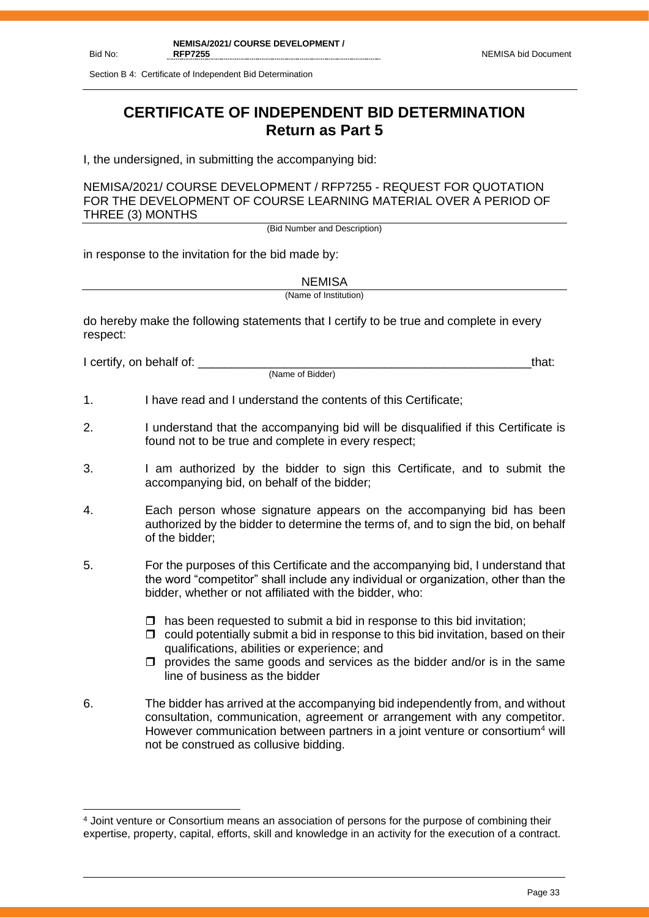Section B 4: Certificate of Independent Bid Determination

## **CERTIFICATE OF INDEPENDENT BID DETERMINATION Return as Part 5**

I, the undersigned, in submitting the accompanying bid:

NEMISA/2021/ COURSE DEVELOPMENT / RFP7255 - REQUEST FOR QUOTATION FOR THE DEVELOPMENT OF COURSE LEARNING MATERIAL OVER A PERIOD OF THREE (3) MONTHS

(Bid Number and Description)

in response to the invitation for the bid made by:

**NEMISA** 

(Name of Institution)

do hereby make the following statements that I certify to be true and complete in every respect:

I certify, on behalf of: that:  $\blacksquare$ 

(Name of Bidder)

- 1. I have read and I understand the contents of this Certificate;
- 2. I understand that the accompanying bid will be disqualified if this Certificate is found not to be true and complete in every respect;
- 3. I am authorized by the bidder to sign this Certificate, and to submit the accompanying bid, on behalf of the bidder;
- 4. Each person whose signature appears on the accompanying bid has been authorized by the bidder to determine the terms of, and to sign the bid, on behalf of the bidder;
- 5. For the purposes of this Certificate and the accompanying bid, I understand that the word "competitor" shall include any individual or organization, other than the bidder, whether or not affiliated with the bidder, who:
	- $\Box$  has been requested to submit a bid in response to this bid invitation;
	- $\Box$  could potentially submit a bid in response to this bid invitation, based on their qualifications, abilities or experience; and
	- $\Box$  provides the same goods and services as the bidder and/or is in the same line of business as the bidder
- 6. The bidder has arrived at the accompanying bid independently from, and without consultation, communication, agreement or arrangement with any competitor. However communication between partners in a joint venture or consortium<sup>4</sup> will not be construed as collusive bidding.

<sup>4</sup> Joint venture or Consortium means an association of persons for the purpose of combining their expertise, property, capital, efforts, skill and knowledge in an activity for the execution of a contract.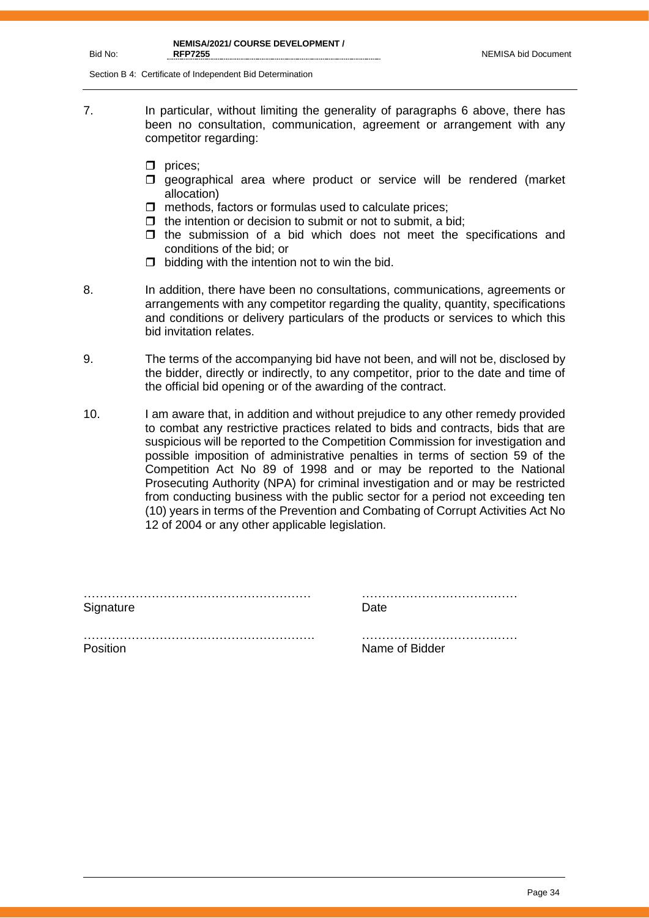**NEMISA/2021/ COURSE DEVELOPMENT / RFP7255** NEMISA bid Document

Section B 4: Certificate of Independent Bid Determination

- 7. In particular, without limiting the generality of paragraphs 6 above, there has been no consultation, communication, agreement or arrangement with any competitor regarding:
	- $\Box$  prices;
	- $\square$  geographical area where product or service will be rendered (market allocation)
	- $\Box$  methods, factors or formulas used to calculate prices;
	- $\Box$  the intention or decision to submit or not to submit, a bid;
	- $\Box$  the submission of a bid which does not meet the specifications and conditions of the bid; or
	- $\Box$  bidding with the intention not to win the bid.
- 

Bid No:

- 8. In addition, there have been no consultations, communications, agreements or arrangements with any competitor regarding the quality, quantity, specifications and conditions or delivery particulars of the products or services to which this bid invitation relates.
- 9. The terms of the accompanying bid have not been, and will not be, disclosed by the bidder, directly or indirectly, to any competitor, prior to the date and time of the official bid opening or of the awarding of the contract.
- 10. I am aware that, in addition and without prejudice to any other remedy provided to combat any restrictive practices related to bids and contracts, bids that are suspicious will be reported to the Competition Commission for investigation and possible imposition of administrative penalties in terms of section 59 of the Competition Act No 89 of 1998 and or may be reported to the National Prosecuting Authority (NPA) for criminal investigation and or may be restricted from conducting business with the public sector for a period not exceeding ten (10) years in terms of the Prevention and Combating of Corrupt Activities Act No 12 of 2004 or any other applicable legislation.

| Signature | Date.          |
|-----------|----------------|
|           |                |
| Position  | Name of Bidder |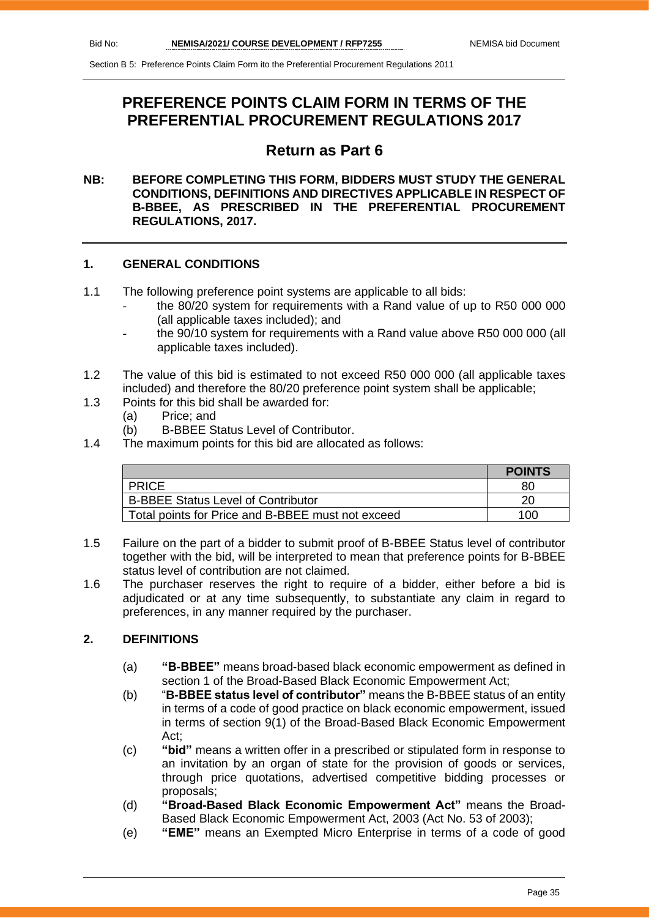## **PREFERENCE POINTS CLAIM FORM IN TERMS OF THE PREFERENTIAL PROCUREMENT REGULATIONS 2017**

## **Return as Part 6**

#### **NB: BEFORE COMPLETING THIS FORM, BIDDERS MUST STUDY THE GENERAL CONDITIONS, DEFINITIONS AND DIRECTIVES APPLICABLE IN RESPECT OF B-BBEE, AS PRESCRIBED IN THE PREFERENTIAL PROCUREMENT REGULATIONS, 2017.**

#### **1. GENERAL CONDITIONS**

- 1.1 The following preference point systems are applicable to all bids:
	- the 80/20 system for requirements with a Rand value of up to R50 000 000 (all applicable taxes included); and
	- the 90/10 system for requirements with a Rand value above R50 000 000 (all applicable taxes included).
- 1.2 The value of this bid is estimated to not exceed R50 000 000 (all applicable taxes included) and therefore the 80/20 preference point system shall be applicable;
- 1.3 Points for this bid shall be awarded for:
	- (a) Price; and
	- (b) B-BBEE Status Level of Contributor.
- 1.4 The maximum points for this bid are allocated as follows:

|                                                   | <b>POINTS</b> |
|---------------------------------------------------|---------------|
| <b>PRICE</b>                                      | 80            |
| <b>B-BBEE Status Level of Contributor</b>         |               |
| Total points for Price and B-BBEE must not exceed | 100           |

- 1.5 Failure on the part of a bidder to submit proof of B-BBEE Status level of contributor together with the bid, will be interpreted to mean that preference points for B-BBEE status level of contribution are not claimed.
- 1.6 The purchaser reserves the right to require of a bidder, either before a bid is adjudicated or at any time subsequently, to substantiate any claim in regard to preferences, in any manner required by the purchaser.

#### **2. DEFINITIONS**

- (a) **"B-BBEE"** means broad-based black economic empowerment as defined in section 1 of the Broad-Based Black Economic Empowerment Act;
- (b) "**B-BBEE status level of contributor"** means the B-BBEE status of an entity in terms of a code of good practice on black economic empowerment, issued in terms of section 9(1) of the Broad-Based Black Economic Empowerment Act;
- (c) **"bid"** means a written offer in a prescribed or stipulated form in response to an invitation by an organ of state for the provision of goods or services, through price quotations, advertised competitive bidding processes or proposals;
- (d) **"Broad-Based Black Economic Empowerment Act"** means the Broad-Based Black Economic Empowerment Act, 2003 (Act No. 53 of 2003);
- (e) **"EME"** means an Exempted Micro Enterprise in terms of a code of good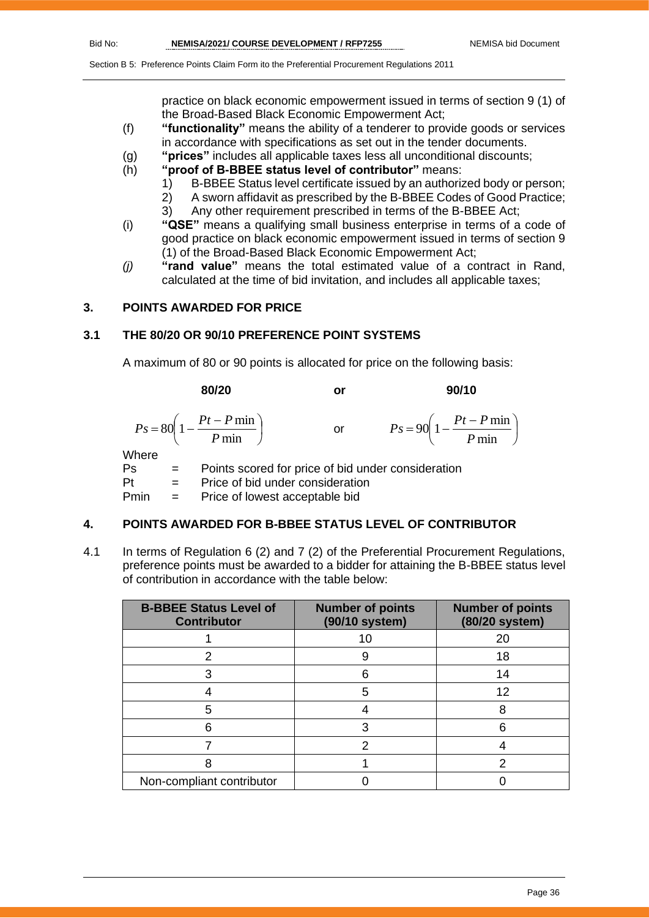practice on black economic empowerment issued in terms of section 9 (1) of the Broad-Based Black Economic Empowerment Act;

- (f) **"functionality"** means the ability of a tenderer to provide goods or services in accordance with specifications as set out in the tender documents.
- (g) **"prices"** includes all applicable taxes less all unconditional discounts;
- (h) **"proof of B-BBEE status level of contributor"** means:
	- 1) B-BBEE Status level certificate issued by an authorized body or person;
		- 2) A sworn affidavit as prescribed by the B-BBEE Codes of Good Practice;
	- 3) Any other requirement prescribed in terms of the B-BBEE Act;
- (i) **"QSE"** means a qualifying small business enterprise in terms of a code of good practice on black economic empowerment issued in terms of section 9 (1) of the Broad-Based Black Economic Empowerment Act;
- *(j)* **"rand value"** means the total estimated value of a contract in Rand, calculated at the time of bid invitation, and includes all applicable taxes;

#### **3. POINTS AWARDED FOR PRICE**

#### **3.1 THE 80/20 OR 90/10 PREFERENCE POINT SYSTEMS**

A maximum of 80 or 90 points is allocated for price on the following basis:

|               | 80/20                                                  | or            | 90/10                                                     |
|---------------|--------------------------------------------------------|---------------|-----------------------------------------------------------|
|               | $Ps = 80\left(1 - \frac{Pt - P \min P}{ \min }\right)$ | $\mathsf{or}$ | $P s = 90 \left( 1 - \frac{Pt - P \min P}{ \min} \right)$ |
| Where<br>De l | Pointe scored for price of hid under consideration     |               |                                                           |

Ps = Points scored for price of bid under consideration Pt = Price of bid under consideration  $Pmin =$  Price of lowest acceptable bid

#### **4. POINTS AWARDED FOR B-BBEE STATUS LEVEL OF CONTRIBUTOR**

4.1 In terms of Regulation 6 (2) and 7 (2) of the Preferential Procurement Regulations, preference points must be awarded to a bidder for attaining the B-BBEE status level of contribution in accordance with the table below:

| <b>B-BBEE Status Level of</b><br><b>Contributor</b> | <b>Number of points</b><br>(90/10 system) | <b>Number of points</b><br>(80/20 system) |
|-----------------------------------------------------|-------------------------------------------|-------------------------------------------|
|                                                     | 10                                        | 20                                        |
|                                                     |                                           | 18                                        |
|                                                     | հ                                         | 14                                        |
|                                                     | 5                                         | 12                                        |
| 5                                                   |                                           | 8                                         |
|                                                     | 3                                         |                                           |
|                                                     | 2                                         |                                           |
|                                                     |                                           |                                           |
| Non-compliant contributor                           |                                           |                                           |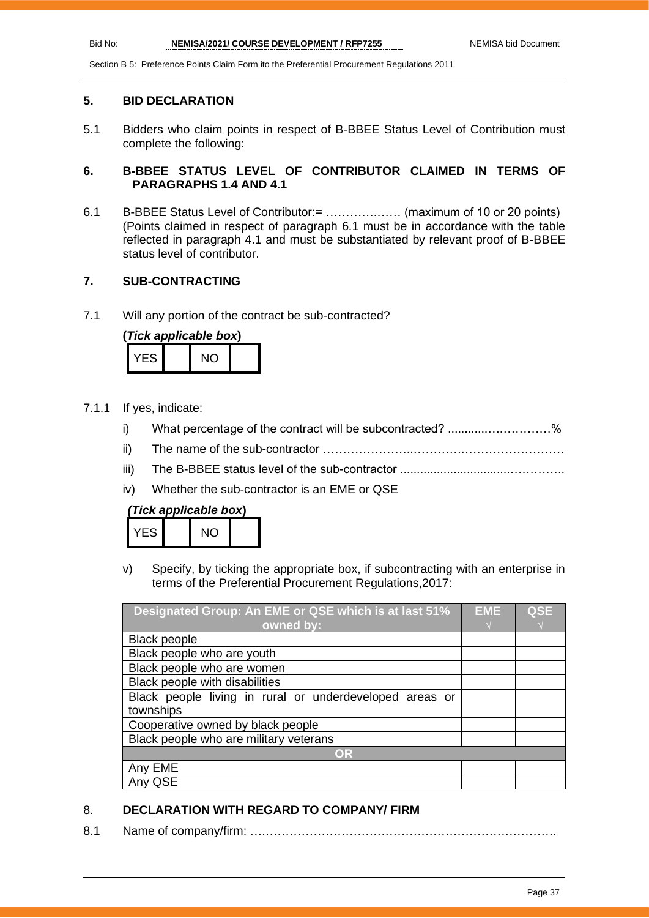#### **5. BID DECLARATION**

5.1 Bidders who claim points in respect of B-BBEE Status Level of Contribution must complete the following:

#### **6. B-BBEE STATUS LEVEL OF CONTRIBUTOR CLAIMED IN TERMS OF PARAGRAPHS 1.4 AND 4.1**

6.1 B-BBEE Status Level of Contributor:= ………….…… (maximum of 10 or 20 points) (Points claimed in respect of paragraph 6.1 must be in accordance with the table reflected in paragraph 4.1 and must be substantiated by relevant proof of B-BBEE status level of contributor.

#### **7. SUB-CONTRACTING**

7.1 Will any portion of the contract be sub-contracted?

| (Tick applicable box) |  |     |  |
|-----------------------|--|-----|--|
| YFS.                  |  | NO. |  |

- 7.1.1 If yes, indicate:
	- i) What percentage of the contract will be subcontracted? ..........................%
	- ii) The name of the sub-contractor …………………..………….…………………….
	- iii) The B-BBEE status level of the sub-contractor .................................…………..
	- iv) Whether the sub-contractor is an EME or QSE

| (Tick applicable box) |  |  |
|-----------------------|--|--|
|-----------------------|--|--|

| ES | NΩ |  |
|----|----|--|
|    |    |  |

v) Specify, by ticking the appropriate box, if subcontracting with an enterprise in terms of the Preferential Procurement Regulations,2017:

| Designated Group: An EME or QSE which is at last 51%    | EME | <b>QSE</b> |
|---------------------------------------------------------|-----|------------|
| owned by:                                               |     |            |
| <b>Black people</b>                                     |     |            |
| Black people who are youth                              |     |            |
| Black people who are women                              |     |            |
| Black people with disabilities                          |     |            |
| Black people living in rural or underdeveloped areas or |     |            |
| townships                                               |     |            |
| Cooperative owned by black people                       |     |            |
| Black people who are military veterans                  |     |            |
| OR                                                      |     |            |
| Any EME                                                 |     |            |
| QSE                                                     |     |            |

#### 8. **DECLARATION WITH REGARD TO COMPANY/ FIRM**

8.1 Name of company/firm: ….……………………………………………………………….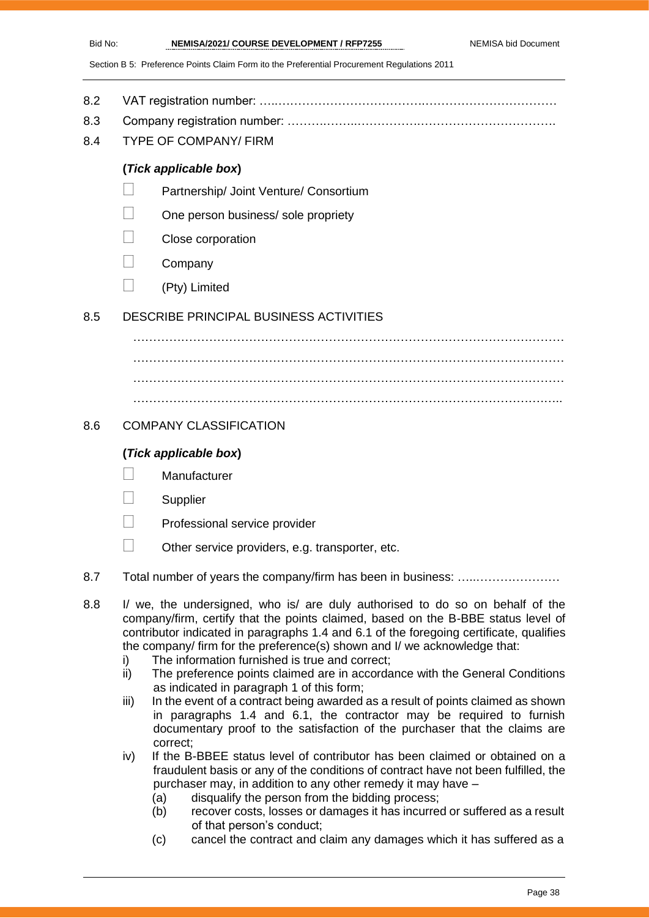- 8.2 VAT registration number: …..……………………………….……………………………
- 8.3 Company registration number: ……….……..…………….…………………………….
- 8.4 TYPE OF COMPANY/ FIRM

#### **(***Tick applicable box***)**

- Partnership/ Joint Venture/ Consortium
- One person business/ sole propriety
- Close corporation
- **Company**
- $\Box$  (Pty) Limited

#### 8.5 DESCRIBE PRINCIPAL BUSINESS ACTIVITIES

……………………………………………………………………………………………… ……………………………………………………………………………………………… ……………………………………………………………………………………………… ………………………………………………………………………………………….…..

#### 8.6 COMPANY CLASSIFICATION

#### **(***Tick applicable box***)**

- **Manufacturer**
- **Supplier**
- Professional service provider
- $\Box$  Other service providers, e.g. transporter, etc.
- 8.7 Total number of years the company/firm has been in business: ………………………
- 8.8 I/ we, the undersigned, who is/ are duly authorised to do so on behalf of the company/firm, certify that the points claimed, based on the B-BBE status level of contributor indicated in paragraphs 1.4 and 6.1 of the foregoing certificate, qualifies the company/ firm for the preference(s) shown and I/ we acknowledge that:
	- i) The information furnished is true and correct;
	- ii) The preference points claimed are in accordance with the General Conditions as indicated in paragraph 1 of this form;
	- iii) In the event of a contract being awarded as a result of points claimed as shown in paragraphs 1.4 and 6.1, the contractor may be required to furnish documentary proof to the satisfaction of the purchaser that the claims are correct;
	- iv) If the B-BBEE status level of contributor has been claimed or obtained on a fraudulent basis or any of the conditions of contract have not been fulfilled, the purchaser may, in addition to any other remedy it may have –
		- (a) disqualify the person from the bidding process;
		- (b) recover costs, losses or damages it has incurred or suffered as a result of that person's conduct;
		- (c) cancel the contract and claim any damages which it has suffered as a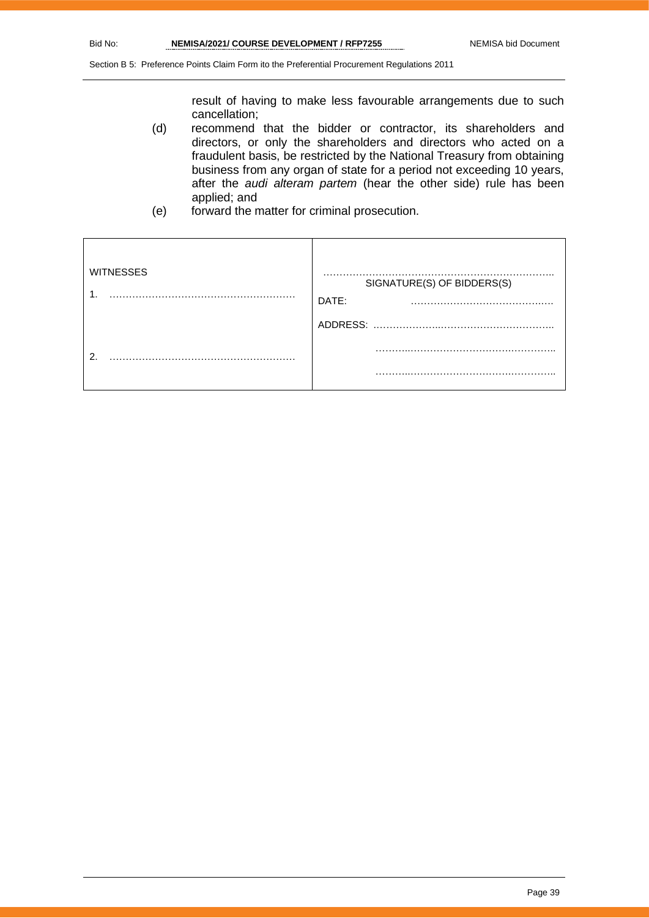result of having to make less favourable arrangements due to such cancellation;

- (d) recommend that the bidder or contractor, its shareholders and directors, or only the shareholders and directors who acted on a fraudulent basis, be restricted by the National Treasury from obtaining business from any organ of state for a period not exceeding 10 years, after the *audi alteram partem* (hear the other side) rule has been applied; and
- (e) forward the matter for criminal prosecution.

| <b>WITNESSES</b> | .<br>SIGNATURE(S) OF BIDDERS(S)<br>DATE: |
|------------------|------------------------------------------|
|                  | ADDRESS:                                 |
| റ                | .                                        |
|                  | .                                        |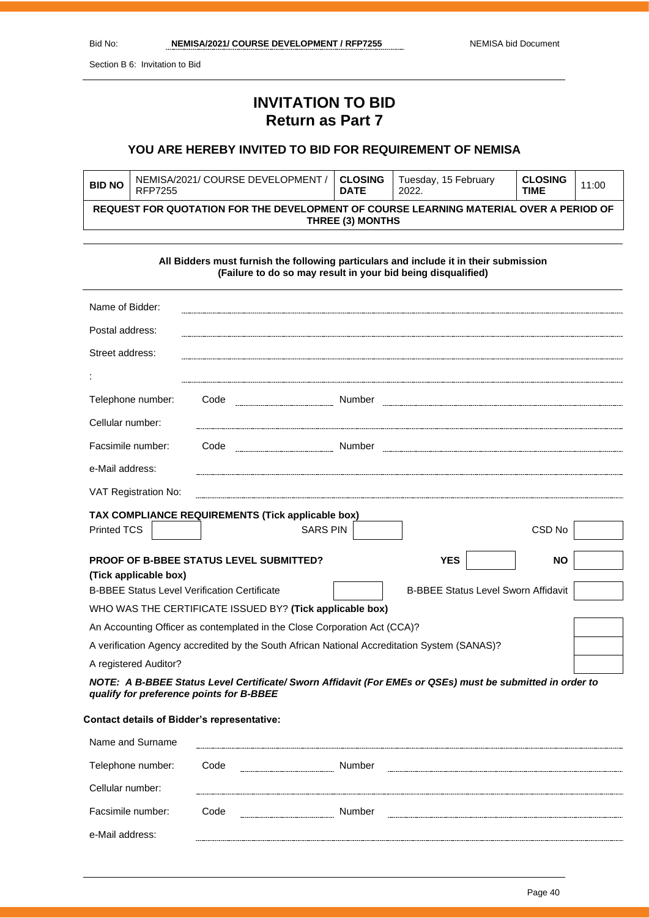Section B 6: Invitation to Bid

## **INVITATION TO BID Return as Part 7**

#### **YOU ARE HEREBY INVITED TO BID FOR REQUIREMENT OF NEMISA**

| <b>BID NO</b>                                                                                              | NEMISA/2021/ COURSE DEVELOPMENT /<br>RFP7255 | <b>CLOSING</b><br><b>DATE</b> | Tuesday, 15 February<br>2022. | <b>CLOSING</b><br>TIME | 11:00 |
|------------------------------------------------------------------------------------------------------------|----------------------------------------------|-------------------------------|-------------------------------|------------------------|-------|
| REQUEST FOR QUOTATION FOR THE DEVELOPMENT OF COURSE LEARNING MATERIAL OVER A PERIOD OF<br>THREE (3) MONTHS |                                              |                               |                               |                        |       |

| All Bidders must furnish the following particulars and include it in their submission<br>(Failure to do so may result in your bid being disqualified) |      |                 |                                                                                                           |           |
|-------------------------------------------------------------------------------------------------------------------------------------------------------|------|-----------------|-----------------------------------------------------------------------------------------------------------|-----------|
| Name of Bidder:                                                                                                                                       |      |                 |                                                                                                           |           |
| Postal address:                                                                                                                                       |      |                 |                                                                                                           |           |
| Street address:                                                                                                                                       |      |                 |                                                                                                           |           |
|                                                                                                                                                       |      |                 |                                                                                                           |           |
| Telephone number:                                                                                                                                     | Code |                 |                                                                                                           |           |
| Cellular number:                                                                                                                                      |      |                 |                                                                                                           |           |
| Facsimile number:                                                                                                                                     | Code |                 |                                                                                                           |           |
| e-Mail address:                                                                                                                                       |      |                 |                                                                                                           |           |
| VAT Registration No:                                                                                                                                  |      |                 |                                                                                                           |           |
| TAX COMPLIANCE REQUIREMENTS (Tick applicable box)                                                                                                     |      |                 |                                                                                                           |           |
| Printed TCS                                                                                                                                           |      | <b>SARS PIN</b> |                                                                                                           | CSD No    |
| <b>PROOF OF B-BBEE STATUS LEVEL SUBMITTED?</b>                                                                                                        |      |                 | <b>YES</b>                                                                                                | <b>NO</b> |
| (Tick applicable box)<br><b>B-BBEE Status Level Sworn Affidavit</b><br><b>B-BBEE Status Level Verification Certificate</b>                            |      |                 |                                                                                                           |           |
| WHO WAS THE CERTIFICATE ISSUED BY? (Tick applicable box)                                                                                              |      |                 |                                                                                                           |           |
|                                                                                                                                                       |      |                 |                                                                                                           |           |
| An Accounting Officer as contemplated in the Close Corporation Act (CCA)?                                                                             |      |                 |                                                                                                           |           |
| A verification Agency accredited by the South African National Accreditation System (SANAS)?                                                          |      |                 |                                                                                                           |           |
| A registered Auditor?                                                                                                                                 |      |                 |                                                                                                           |           |
|                                                                                                                                                       |      |                 | NOTE: A B-BBEE Status Level Certificate/ Sworn Affidavit (For EMEs or QSEs) must be submitted in order to |           |

*qualify for preference points for B-BBEE*

#### **Contact details of Bidder's representative:**

| Name and Surname  |      |                                           |  |
|-------------------|------|-------------------------------------------|--|
| Telephone number: | Code | Number<br>------------------------------- |  |
| Cellular number:  |      |                                           |  |
| Facsimile number: | Code | Number                                    |  |
| e-Mail address:   |      |                                           |  |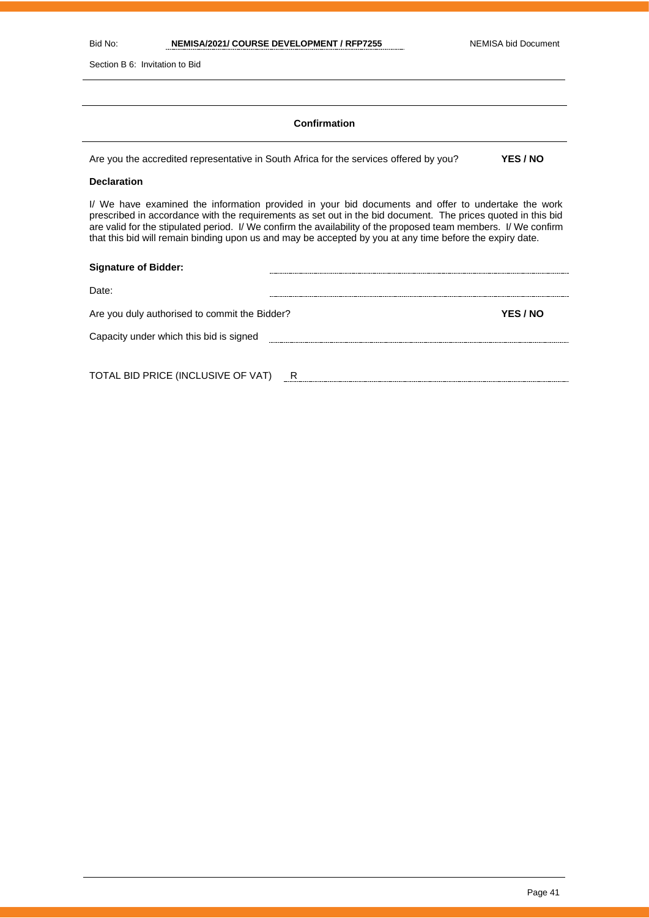Section B 6: Invitation to Bid

#### **Confirmation**

Are you the accredited representative in South Africa for the services offered by you? **YES / NO**

#### **Declaration**

I/ We have examined the information provided in your bid documents and offer to undertake the work prescribed in accordance with the requirements as set out in the bid document. The prices quoted in this bid are valid for the stipulated period. I/ We confirm the availability of the proposed team members. I/ We confirm that this bid will remain binding upon us and may be accepted by you at any time before the expiry date.

| <b>Signature of Bidder:</b>                   |   |          |
|-----------------------------------------------|---|----------|
| Date:                                         |   |          |
| Are you duly authorised to commit the Bidder? |   | YES / NO |
| Capacity under which this bid is signed       |   |          |
|                                               |   |          |
| TOTAL BID PRICE (INCLUSIVE OF VAT)            | R |          |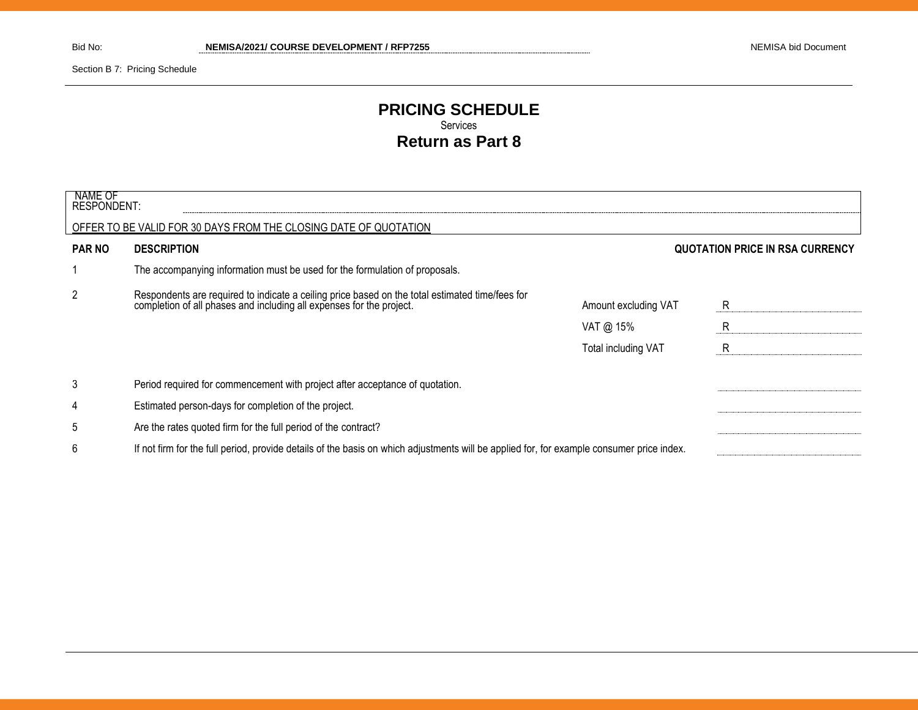Section B 7: Pricing Schedule

### **PRICING SCHEDULE** Services **Return as Part 8**

| NAME OF<br><b>RESPONDENT:</b>                                    |                                                                                                                                                                      |                      |                                        |  |
|------------------------------------------------------------------|----------------------------------------------------------------------------------------------------------------------------------------------------------------------|----------------------|----------------------------------------|--|
| OFFER TO BE VALID FOR 30 DAYS FROM THE CLOSING DATE OF QUOTATION |                                                                                                                                                                      |                      |                                        |  |
| <b>PAR NO</b>                                                    | <b>DESCRIPTION</b>                                                                                                                                                   |                      | <b>QUOTATION PRICE IN RSA CURRENCY</b> |  |
|                                                                  | The accompanying information must be used for the formulation of proposals.                                                                                          |                      |                                        |  |
| 2                                                                | Respondents are required to indicate a ceiling price based on the total estimated time/fees for completion of all phases and including all expenses for the project. | Amount excluding VAT | R                                      |  |
|                                                                  |                                                                                                                                                                      | VAT @ $15\%$         | R                                      |  |
|                                                                  |                                                                                                                                                                      | Total including VAT  | R                                      |  |
| 3                                                                | Period required for commencement with project after acceptance of quotation.                                                                                         |                      |                                        |  |
| 4                                                                | Estimated person-days for completion of the project.                                                                                                                 |                      |                                        |  |
| 5                                                                | Are the rates quoted firm for the full period of the contract?                                                                                                       |                      |                                        |  |
| 6                                                                | If not firm for the full period, provide details of the basis on which adjustments will be applied for, for example consumer price index.                            |                      |                                        |  |